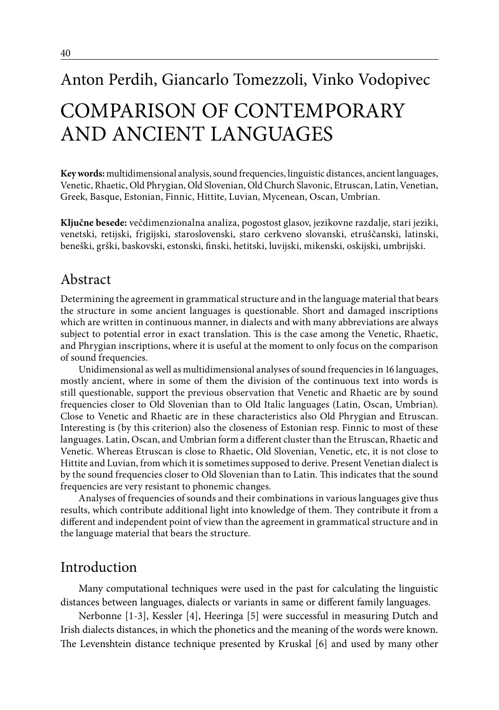# Anton Perdih, Giancarlo Tomezzoli, Vinko Vodopivec COMPARISON OF CONTEMPORARY AND ANCIENT LANGUAGES

**Key words:** multidimensional analysis, sound frequencies, linguistic distances, ancient languages, Venetic, Rhaetic, Old Phrygian, Old Slovenian, Old Church Slavonic, Etruscan, Latin, Venetian, Greek, Basque, Estonian, Finnic, Hittite, Luvian, Mycenean, Oscan, Umbrian.

**Ključne besede:** večdimenzionalna analiza, pogostost glasov, jezikovne razdalje, stari jeziki, venetski, retijski, frigijski, staroslovenski, staro cerkveno slovanski, etruščanski, latinski, beneški, grški, baskovski, estonski, finski, hetitski, luvijski, mikenski, oskijski, umbrijski.

# Abstract

Determining the agreement in grammatical structure and in the language material that bears the structure in some ancient languages is questionable. Short and damaged inscriptions which are written in continuous manner, in dialects and with many abbreviations are always subject to potential error in exact translation. This is the case among the Venetic, Rhaetic, and Phrygian inscriptions, where it is useful at the moment to only focus on the comparison of sound frequencies.

Unidimensional as well as multidimensional analyses of sound frequencies in 16 languages, mostly ancient, where in some of them the division of the continuous text into words is still questionable, support the previous observation that Venetic and Rhaetic are by sound frequencies closer to Old Slovenian than to Old Italic languages (Latin, Oscan, Umbrian). Close to Venetic and Rhaetic are in these characteristics also Old Phrygian and Etruscan. Interesting is (by this criterion) also the closeness of Estonian resp. Finnic to most of these languages. Latin, Oscan, and Umbrian form a different cluster than the Etruscan, Rhaetic and Venetic. Whereas Etruscan is close to Rhaetic, Old Slovenian, Venetic, etc, it is not close to Hittite and Luvian, from which it is sometimes supposed to derive. Present Venetian dialect is by the sound frequencies closer to Old Slovenian than to Latin. This indicates that the sound frequencies are very resistant to phonemic changes.

Analyses of frequencies of sounds and their combinations in various languages give thus results, which contribute additional light into knowledge of them. They contribute it from a different and independent point of view than the agreement in grammatical structure and in the language material that bears the structure.

# Introduction

Many computational techniques were used in the past for calculating the linguistic distances between languages, dialects or variants in same or different family languages.

Nerbonne [1-3], Kessler [4], Heeringa [5] were successful in measuring Dutch and Irish dialects distances, in which the phonetics and the meaning of the words were known. The Levenshtein distance technique presented by Kruskal [6] and used by many other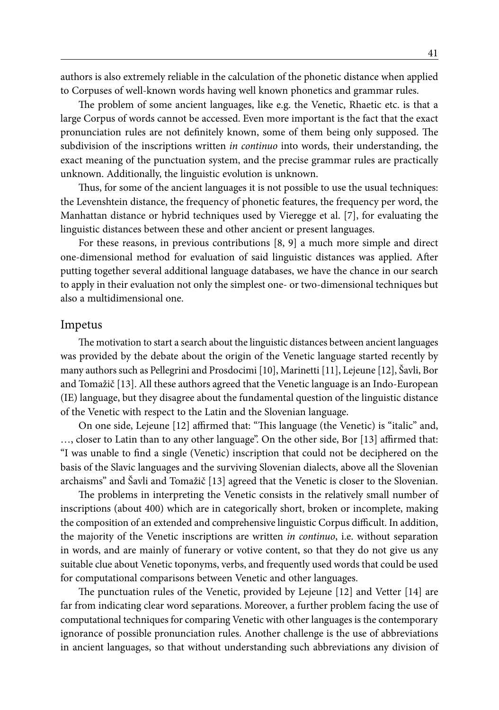authors is also extremely reliable in the calculation of the phonetic distance when applied to Corpuses of well-known words having well known phonetics and grammar rules.

The problem of some ancient languages, like e.g. the Venetic, Rhaetic etc. is that a large Corpus of words cannot be accessed. Even more important is the fact that the exact pronunciation rules are not definitely known, some of them being only supposed. The subdivision of the inscriptions written *in continuo* into words, their understanding, the exact meaning of the punctuation system, and the precise grammar rules are practically unknown. Additionally, the linguistic evolution is unknown.

Thus, for some of the ancient languages it is not possible to use the usual techniques: the Levenshtein distance, the frequency of phonetic features, the frequency per word, the Manhattan distance or hybrid techniques used by Vieregge et al. [7], for evaluating the linguistic distances between these and other ancient or present languages.

For these reasons, in previous contributions [8, 9] a much more simple and direct one-dimensional method for evaluation of said linguistic distances was applied. After putting together several additional language databases, we have the chance in our search to apply in their evaluation not only the simplest one- or two-dimensional techniques but also a multidimensional one.

#### Impetus

The motivation to start a search about the linguistic distances between ancient languages was provided by the debate about the origin of the Venetic language started recently by many authors such as Pellegrini and Prosdocimi [10], Marinetti [11], Lejeune [12], Šavli, Bor and Tomažič [13]. All these authors agreed that the Venetic language is an Indo-European (IE) language, but they disagree about the fundamental question of the linguistic distance of the Venetic with respect to the Latin and the Slovenian language.

On one side, Lejeune [12] affirmed that: "This language (the Venetic) is "italic" and, …, closer to Latin than to any other language". On the other side, Bor [13] affirmed that: "I was unable to find a single (Venetic) inscription that could not be deciphered on the basis of the Slavic languages and the surviving Slovenian dialects, above all the Slovenian archaisms" and Šavli and Tomažič [13] agreed that the Venetic is closer to the Slovenian.

The problems in interpreting the Venetic consists in the relatively small number of inscriptions (about 400) which are in categorically short, broken or incomplete, making the composition of an extended and comprehensive linguistic Corpus difficult. In addition, the majority of the Venetic inscriptions are written *in continuo*, i.e. without separation in words, and are mainly of funerary or votive content, so that they do not give us any suitable clue about Venetic toponyms, verbs, and frequently used words that could be used for computational comparisons between Venetic and other languages.

The punctuation rules of the Venetic, provided by Lejeune [12] and Vetter [14] are far from indicating clear word separations. Moreover, a further problem facing the use of computational techniques for comparing Venetic with other languages is the contemporary ignorance of possible pronunciation rules. Another challenge is the use of abbreviations in ancient languages, so that without understanding such abbreviations any division of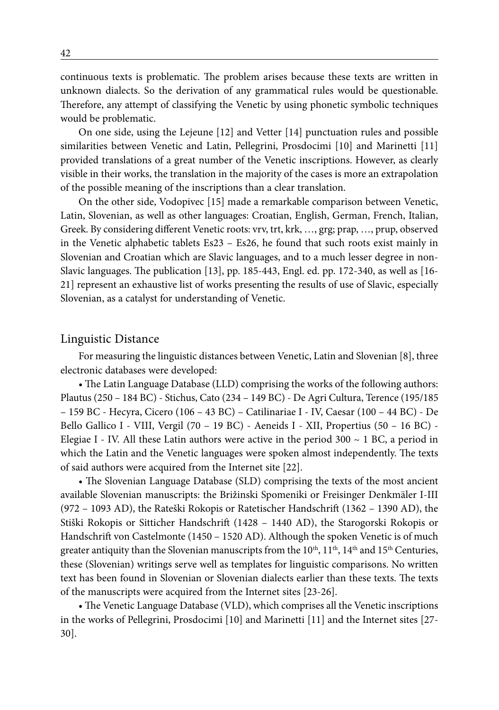continuous texts is problematic. The problem arises because these texts are written in unknown dialects. So the derivation of any grammatical rules would be questionable. Therefore, any attempt of classifying the Venetic by using phonetic symbolic techniques would be problematic.

On one side, using the Lejeune [12] and Vetter [14] punctuation rules and possible similarities between Venetic and Latin, Pellegrini, Prosdocimi [10] and Marinetti [11] provided translations of a great number of the Venetic inscriptions. However, as clearly visible in their works, the translation in the majority of the cases is more an extrapolation of the possible meaning of the inscriptions than a clear translation.

On the other side, Vodopivec [15] made a remarkable comparison between Venetic, Latin, Slovenian, as well as other languages: Croatian, English, German, French, Italian, Greek. By considering different Venetic roots: vrv, trt, krk, …, grg; prap, …, prup, observed in the Venetic alphabetic tablets Es23 – Es26, he found that such roots exist mainly in Slovenian and Croatian which are Slavic languages, and to a much lesser degree in non-Slavic languages. The publication [13], pp. 185-443, Engl. ed. pp. 172-340, as well as [16- 21] represent an exhaustive list of works presenting the results of use of Slavic, especially Slovenian, as a catalyst for understanding of Venetic.

#### Linguistic Distance

For measuring the linguistic distances between Venetic, Latin and Slovenian [8], three electronic databases were developed:

• The Latin Language Database (LLD) comprising the works of the following authors: Plautus (250 – 184 BC) - Stichus, Cato (234 – 149 BC) - De Agri Cultura, Terence (195/185 – 159 BC - Hecyra, Cicero (106 – 43 BC) – Catilinariae I - IV, Caesar (100 – 44 BC) - De Bello Gallico I - VIII, Vergil (70 – 19 BC) - Aeneids I - XII, Propertius (50 – 16 BC) - Elegiae I - IV. All these Latin authors were active in the period  $300 \sim 1$  BC, a period in which the Latin and the Venetic languages were spoken almost independently. The texts of said authors were acquired from the Internet site [22].

• The Slovenian Language Database (SLD) comprising the texts of the most ancient available Slovenian manuscripts: the Brižinski Spomeniki or Freisinger Denkmäler I-III (972 – 1093 AD), the Rateški Rokopis or Ratetischer Handschrift (1362 – 1390 AD), the Stiški Rokopis or Sitticher Handschrift (1428 – 1440 AD), the Starogorski Rokopis or Handschrift von Castelmonte (1450 – 1520 AD). Although the spoken Venetic is of much greater antiquity than the Slovenian manuscripts from the 10<sup>th</sup>, 11<sup>th</sup>, 14<sup>th</sup> and 15<sup>th</sup> Centuries, these (Slovenian) writings serve well as templates for linguistic comparisons. No written text has been found in Slovenian or Slovenian dialects earlier than these texts. The texts of the manuscripts were acquired from the Internet sites [23-26].

• The Venetic Language Database (VLD), which comprises all the Venetic inscriptions in the works of Pellegrini, Prosdocimi [10] and Marinetti [11] and the Internet sites [27- 30].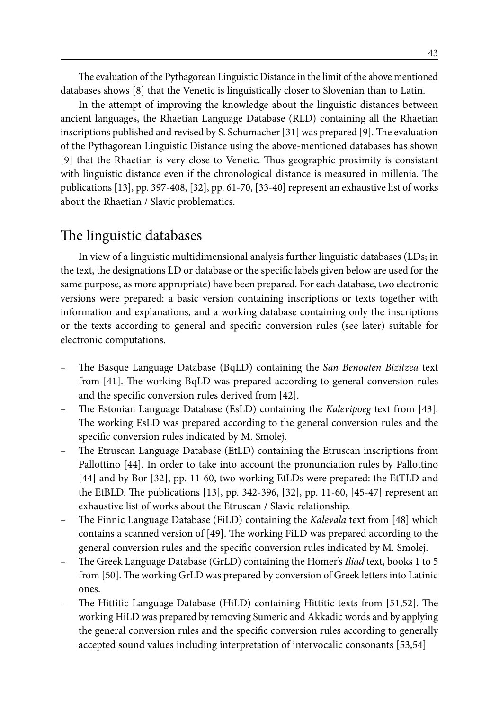The evaluation of the Pythagorean Linguistic Distance in the limit of the above mentioned databases shows [8] that the Venetic is linguistically closer to Slovenian than to Latin.

In the attempt of improving the knowledge about the linguistic distances between ancient languages, the Rhaetian Language Database (RLD) containing all the Rhaetian inscriptions published and revised by S. Schumacher [31] was prepared [9]. The evaluation of the Pythagorean Linguistic Distance using the above-mentioned databases has shown [9] that the Rhaetian is very close to Venetic. Thus geographic proximity is consistant with linguistic distance even if the chronological distance is measured in millenia. The publications [13], pp. 397-408, [32], pp. 61-70, [33-40] represent an exhaustive list of works about the Rhaetian / Slavic problematics.

# The linguistic databases

In view of a linguistic multidimensional analysis further linguistic databases (LDs; in the text, the designations LD or database or the specific labels given below are used for the same purpose, as more appropriate) have been prepared. For each database, two electronic versions were prepared: a basic version containing inscriptions or texts together with information and explanations, and a working database containing only the inscriptions or the texts according to general and specific conversion rules (see later) suitable for electronic computations.

- The Basque Language Database (BqLD) containing the *San Benoaten Bizitzea* text from [41]. The working BqLD was prepared according to general conversion rules and the specific conversion rules derived from [42].
- The Estonian Language Database (EsLD) containing the *Kalevipoeg* text from [43]. The working EsLD was prepared according to the general conversion rules and the specific conversion rules indicated by M. Smolej.
- The Etruscan Language Database (EtLD) containing the Etruscan inscriptions from Pallottino [44]. In order to take into account the pronunciation rules by Pallottino [44] and by Bor [32], pp. 11-60, two working EtLDs were prepared: the EtTLD and the EtBLD. The publications [13], pp. 342-396, [32], pp. 11-60, [45-47] represent an exhaustive list of works about the Etruscan / Slavic relationship.
- The Finnic Language Database (FiLD) containing the *Kalevala* text from [48] which contains a scanned version of [49]. The working FiLD was prepared according to the general conversion rules and the specific conversion rules indicated by M. Smolej.
- The Greek Language Database (GrLD) containing the Homer's *Iliad* text, books 1 to 5 from [50]. The working GrLD was prepared by conversion of Greek letters into Latinic ones.
- The Hittitic Language Database (HiLD) containing Hittitic texts from [51,52]. The working HiLD was prepared by removing Sumeric and Akkadic words and by applying the general conversion rules and the specific conversion rules according to generally accepted sound values including interpretation of intervocalic consonants [53,54]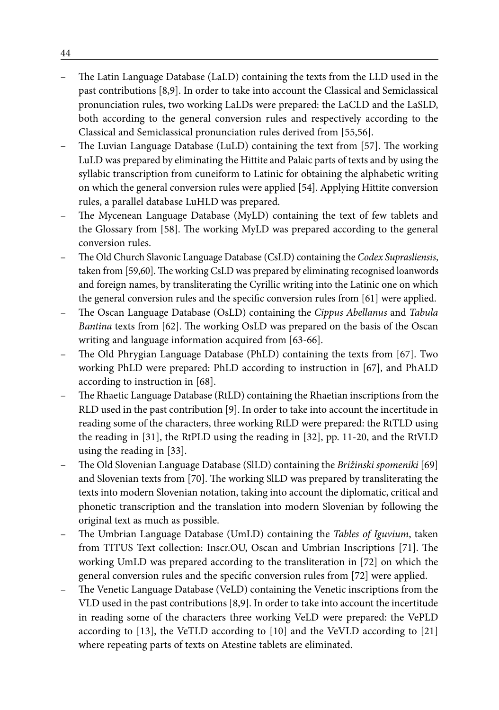- The Latin Language Database (LaLD) containing the texts from the LLD used in the past contributions [8,9]. In order to take into account the Classical and Semiclassical pronunciation rules, two working LaLDs were prepared: the LaCLD and the LaSLD, both according to the general conversion rules and respectively according to the Classical and Semiclassical pronunciation rules derived from [55,56].
- The Luvian Language Database (LuLD) containing the text from [57]. The working LuLD was prepared by eliminating the Hittite and Palaic parts of texts and by using the syllabic transcription from cuneiform to Latinic for obtaining the alphabetic writing on which the general conversion rules were applied [54]. Applying Hittite conversion rules, a parallel database LuHLD was prepared.
- The Mycenean Language Database (MyLD) containing the text of few tablets and the Glossary from [58]. The working MyLD was prepared according to the general conversion rules.
- The Old Church Slavonic Language Database (CsLD) containing the *Codex Suprasliensis*, taken from [59,60]. The working CsLD was prepared by eliminating recognised loanwords and foreign names, by transliterating the Cyrillic writing into the Latinic one on which the general conversion rules and the specific conversion rules from [61] were applied.
- The Oscan Language Database (OsLD) containing the *Cippus Abellanus* and *Tabula Bantina* texts from [62]. The working OsLD was prepared on the basis of the Oscan writing and language information acquired from [63-66].
- The Old Phrygian Language Database (PhLD) containing the texts from [67]. Two working PhLD were prepared: PhLD according to instruction in [67], and PhALD according to instruction in [68].
- The Rhaetic Language Database (RtLD) containing the Rhaetian inscriptions from the RLD used in the past contribution [9]. In order to take into account the incertitude in reading some of the characters, three working RtLD were prepared: the RtTLD using the reading in [31], the RtPLD using the reading in [32], pp. 11-20, and the RtVLD using the reading in [33].
- The Old Slovenian Language Database (SlLD) containing the *Brižinski spomeniki* [69] and Slovenian texts from [70]. The working SlLD was prepared by transliterating the texts into modern Slovenian notation, taking into account the diplomatic, critical and phonetic transcription and the translation into modern Slovenian by following the original text as much as possible.
- The Umbrian Language Database (UmLD) containing the *Tables of Iguvium*, taken from TITUS Text collection: Inscr.OU, Oscan and Umbrian Inscriptions [71]. The working UmLD was prepared according to the transliteration in [72] on which the general conversion rules and the specific conversion rules from [72] were applied.
- The Venetic Language Database (VeLD) containing the Venetic inscriptions from the VLD used in the past contributions [8,9]. In order to take into account the incertitude in reading some of the characters three working VeLD were prepared: the VePLD according to [13], the VeTLD according to [10] and the VeVLD according to [21] where repeating parts of texts on Atestine tablets are eliminated.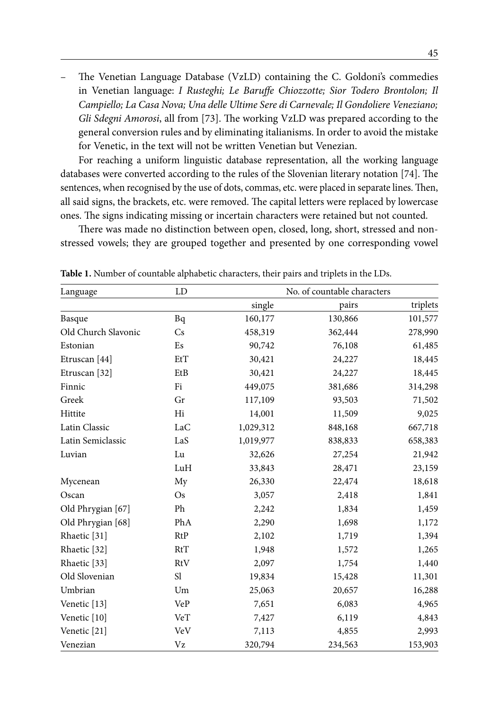– The Venetian Language Database (VzLD) containing the C. Goldoni's commedies in Venetian language: *I Rusteghi; Le Baruffe Chiozzotte; Sior Todero Brontolon; Il Campiello; La Casa Nova; Una delle Ultime Sere di Carnevale; Il Gondoliere Veneziano; Gli Sdegni Amorosi*, all from [73]. The working VzLD was prepared according to the general conversion rules and by eliminating italianisms. In order to avoid the mistake for Venetic, in the text will not be written Venetian but Venezian.

For reaching a uniform linguistic database representation, all the working language databases were converted according to the rules of the Slovenian literary notation [74]. The sentences, when recognised by the use of dots, commas, etc. were placed in separate lines. Then, all said signs, the brackets, etc. were removed. The capital letters were replaced by lowercase ones. The signs indicating missing or incertain characters were retained but not counted.

There was made no distinction between open, closed, long, short, stressed and nonstressed vowels; they are grouped together and presented by one corresponding vowel

| Language                | LD        |           | No. of countable characters |          |
|-------------------------|-----------|-----------|-----------------------------|----------|
|                         |           | single    | pairs                       | triplets |
| Basque                  | Bq        | 160,177   | 130,866                     | 101,577  |
| Old Church Slavonic     | Cs        | 458,319   | 362,444                     | 278,990  |
| Estonian                | Es        | 90,742    | 76,108                      | 61,485   |
| Etruscan [44]           | EtT       | 30,421    | 24,227                      | 18,445   |
| Etruscan [32]           | EtB       | 30,421    | 24,227                      | 18,445   |
| Finnic                  | Fi        | 449,075   | 381,686                     | 314,298  |
| Greek                   | Gr        | 117,109   | 93,503                      | 71,502   |
| Hittite                 | Hi        | 14,001    | 11,509                      | 9,025    |
| Latin Classic           | LaC       | 1,029,312 | 848,168                     | 667,718  |
| Latin Semiclassic       | LaS       | 1,019,977 | 838,833                     | 658,383  |
| Luvian                  | Lu        | 32,626    | 27,254                      | 21,942   |
|                         | LuH       | 33,843    | 28,471                      | 23,159   |
| Mycenean                | My        | 26,330    | 22,474                      | 18,618   |
| Oscan                   | <b>Os</b> | 3,057     | 2,418                       | 1,841    |
| Old Phrygian [67]       | Ph        | 2,242     | 1,834                       | 1,459    |
| Old Phrygian [68]       | PhA       | 2,290     | 1,698                       | 1,172    |
| Rhaetic <sup>[31]</sup> | RtP       | 2,102     | 1,719                       | 1,394    |
| Rhaetic <sup>[32]</sup> | RtT       | 1,948     | 1,572                       | 1,265    |
| Rhaetic <sup>[33]</sup> | RtV       | 2,097     | 1,754                       | 1,440    |
| Old Slovenian           | S1        | 19,834    | 15,428                      | 11,301   |
| Umbrian                 | Um        | 25,063    | 20,657                      | 16,288   |
| Venetic [13]            | VeP       | 7,651     | 6,083                       | 4,965    |
| Venetic [10]            | VeT       | 7,427     | 6,119                       | 4,843    |
| Venetic [21]            | VeV       | 7,113     | 4,855                       | 2,993    |
| Venezian                | Vz        | 320,794   | 234,563                     | 153,903  |

**Table 1.** Number of countable alphabetic characters, their pairs and triplets in the LDs.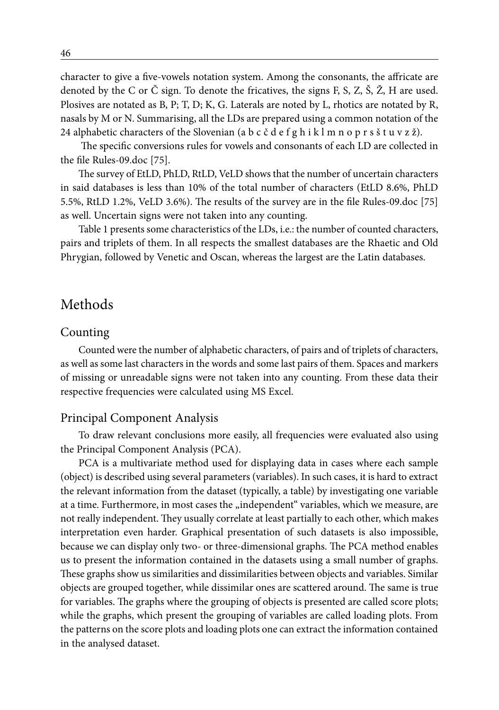character to give a five-vowels notation system. Among the consonants, the affricate are denoted by the C or  $\check{C}$  sign. To denote the fricatives, the signs F, S, Z,  $\check{S}$ ,  $\check{Z}$ , H are used. Plosives are notated as B, P; T, D; K, G. Laterals are noted by L, rhotics are notated by R, nasals by M or N. Summarising, all the LDs are prepared using a common notation of the 24 alphabetic characters of the Slovenian (a b c č d e f g h i k l m n o p r s š t u v z ž).

 The specific conversions rules for vowels and consonants of each LD are collected in the file Rules-09.doc [75].

The survey of EtLD, PhLD, RtLD, VeLD shows that the number of uncertain characters in said databases is less than 10% of the total number of characters (EtLD 8.6%, PhLD 5.5%, RtLD 1.2%, VeLD 3.6%). The results of the survey are in the file Rules-09.doc [75] as well. Uncertain signs were not taken into any counting.

Table 1 presents some characteristics of the LDs, i.e.: the number of counted characters, pairs and triplets of them. In all respects the smallest databases are the Rhaetic and Old Phrygian, followed by Venetic and Oscan, whereas the largest are the Latin databases.

# Methods

## Counting

Counted were the number of alphabetic characters, of pairs and of triplets of characters, as well as some last characters in the words and some last pairs of them. Spaces and markers of missing or unreadable signs were not taken into any counting. From these data their respective frequencies were calculated using MS Excel.

## Principal Component Analysis

To draw relevant conclusions more easily, all frequencies were evaluated also using the Principal Component Analysis (PCA).

PCA is a multivariate method used for displaying data in cases where each sample (object) is described using several parameters (variables). In such cases, it is hard to extract the relevant information from the dataset (typically, a table) by investigating one variable at a time. Furthermore, in most cases the "independent" variables, which we measure, are not really independent. They usually correlate at least partially to each other, which makes interpretation even harder. Graphical presentation of such datasets is also impossible, because we can display only two- or three-dimensional graphs. The PCA method enables us to present the information contained in the datasets using a small number of graphs. These graphs show us similarities and dissimilarities between objects and variables. Similar objects are grouped together, while dissimilar ones are scattered around. The same is true for variables. The graphs where the grouping of objects is presented are called score plots; while the graphs, which present the grouping of variables are called loading plots. From the patterns on the score plots and loading plots one can extract the information contained in the analysed dataset.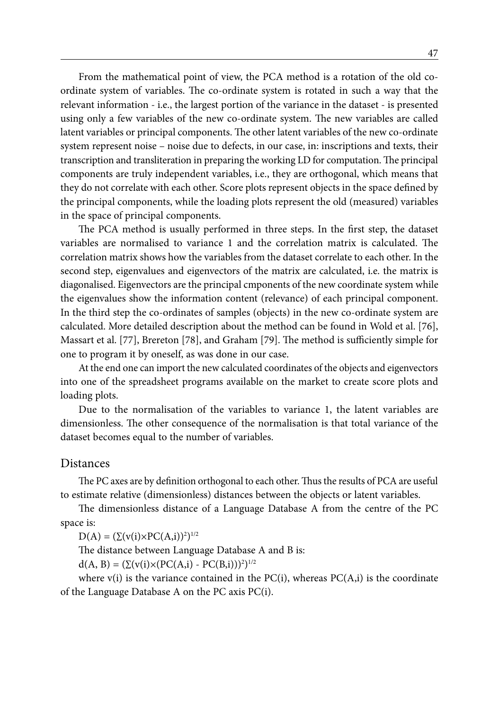From the mathematical point of view, the PCA method is a rotation of the old coordinate system of variables. The co-ordinate system is rotated in such a way that the relevant information - i.e., the largest portion of the variance in the dataset - is presented using only a few variables of the new co-ordinate system. The new variables are called latent variables or principal components. The other latent variables of the new co-ordinate system represent noise – noise due to defects, in our case, in: inscriptions and texts, their transcription and transliteration in preparing the working LD for computation. The principal components are truly independent variables, i.e., they are orthogonal, which means that they do not correlate with each other. Score plots represent objects in the space defined by the principal components, while the loading plots represent the old (measured) variables in the space of principal components.

The PCA method is usually performed in three steps. In the first step, the dataset variables are normalised to variance 1 and the correlation matrix is calculated. The correlation matrix shows how the variables from the dataset correlate to each other. In the second step, eigenvalues and eigenvectors of the matrix are calculated, i.e. the matrix is diagonalised. Eigenvectors are the principal cmponents of the new coordinate system while the eigenvalues show the information content (relevance) of each principal component. In the third step the co-ordinates of samples (objects) in the new co-ordinate system are calculated. More detailed description about the method can be found in Wold et al. [76], Massart et al. [77], Brereton [78], and Graham [79]. The method is sufficiently simple for one to program it by oneself, as was done in our case.

At the end one can import the new calculated coordinates of the objects and eigenvectors into one of the spreadsheet programs available on the market to create score plots and loading plots.

Due to the normalisation of the variables to variance 1, the latent variables are dimensionless. The other consequence of the normalisation is that total variance of the dataset becomes equal to the number of variables.

## Distances

The PC axes are by definition orthogonal to each other. Thus the results of PCA are useful to estimate relative (dimensionless) distances between the objects or latent variables.

The dimensionless distance of a Language Database A from the centre of the PC space is:

 $D(A) = (\Sigma(v(i) \times PC(A,i))^{2})^{1/2}$ 

The distance between Language Database A and B is:

 $d(A, B) = (\Sigma(v(i) \times (PC(A, i) - PC(B, i)))^{2})^{1/2}$ 

where  $v(i)$  is the variance contained in the PC(i), whereas PC(A,i) is the coordinate of the Language Database A on the PC axis PC(i).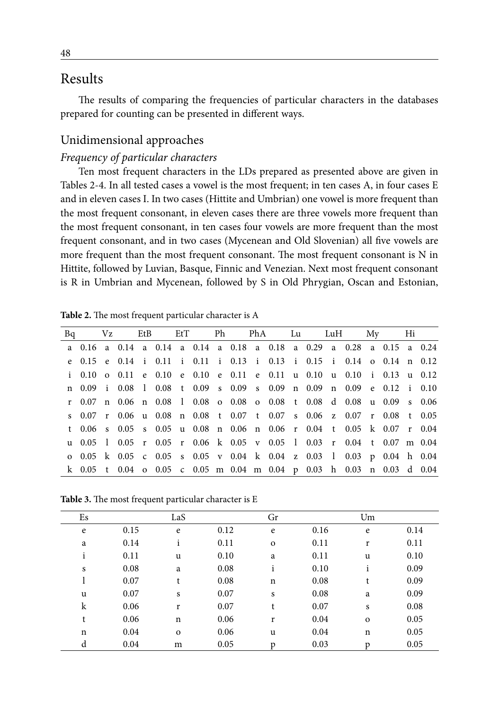## Results

The results of comparing the frequencies of particular characters in the databases prepared for counting can be presented in different ways.

## Unidimensional approaches

## *Frequency of particular characters*

Ten most frequent characters in the LDs prepared as presented above are given in Tables 2-4. In all tested cases a vowel is the most frequent; in ten cases A, in four cases E and in eleven cases I. In two cases (Hittite and Umbrian) one vowel is more frequent than the most frequent consonant, in eleven cases there are three vowels more frequent than the most frequent consonant, in ten cases four vowels are more frequent than the most frequent consonant, and in two cases (Mycenean and Old Slovenian) all five vowels are more frequent than the most frequent consonant. The most frequent consonant is N in Hittite, followed by Luvian, Basque, Finnic and Venezian. Next most frequent consonant is R in Umbrian and Mycenean, followed by S in Old Phrygian, Oscan and Estonian,

|  |  |  |  |  | Bq Vz EtB EtT Ph PhA Lu LuH My Hi                                     |  |  |  |  |
|--|--|--|--|--|-----------------------------------------------------------------------|--|--|--|--|
|  |  |  |  |  | a 0.16 a 0.14 a 0.14 a 0.14 a 0.18 a 0.18 a 0.29 a 0.28 a 0.15 a 0.24 |  |  |  |  |
|  |  |  |  |  | e 0.15 e 0.14 i 0.11 i 0.11 i 0.13 i 0.13 i 0.15 i 0.14 o 0.14 n 0.12 |  |  |  |  |
|  |  |  |  |  | i 0.10 o 0.11 e 0.10 e 0.10 e 0.11 e 0.11 u 0.10 u 0.10 i 0.13 u 0.12 |  |  |  |  |
|  |  |  |  |  | n 0.09 i 0.08 l 0.08 t 0.09 s 0.09 s 0.09 n 0.09 n 0.09 e 0.12 i 0.10 |  |  |  |  |
|  |  |  |  |  | r 0.07 n 0.06 n 0.08 1 0.08 o 0.08 o 0.08 t 0.08 d 0.08 u 0.09 s 0.06 |  |  |  |  |
|  |  |  |  |  | s 0.07 r 0.06 u 0.08 n 0.08 t 0.07 t 0.07 s 0.06 z 0.07 r 0.08 t 0.05 |  |  |  |  |
|  |  |  |  |  | t 0.06 s 0.05 s 0.05 u 0.08 n 0.06 n 0.06 r 0.04 t 0.05 k 0.07 r 0.04 |  |  |  |  |
|  |  |  |  |  | u 0.05 l 0.05 r 0.05 r 0.06 k 0.05 v 0.05 l 0.03 r 0.04 t 0.07 m 0.04 |  |  |  |  |
|  |  |  |  |  | o 0.05 k 0.05 c 0.05 s 0.05 v 0.04 k 0.04 z 0.03 l 0.03 p 0.04 h 0.04 |  |  |  |  |
|  |  |  |  |  | k 0.05 t 0.04 o 0.05 c 0.05 m 0.04 m 0.04 p 0.03 h 0.03 n 0.03 d 0.04 |  |  |  |  |

**Table 2.** The most frequent particular character is A

**Table 3.** The most frequent particular character is E

| Es          |      | LaS          |      | Gr           |      | Um           |      |
|-------------|------|--------------|------|--------------|------|--------------|------|
| e           | 0.15 | e            | 0.12 | $\mathbf e$  | 0.16 | e            | 0.14 |
| a           | 0.14 | $\mathbf{1}$ | 0.11 | $\mathbf{o}$ | 0.11 | r            | 0.11 |
| i           | 0.11 | u            | 0.10 | a            | 0.11 | u            | 0.10 |
| S           | 0.08 | a            | 0.08 | $\mathbf{i}$ | 0.10 | i            | 0.09 |
|             | 0.07 | t            | 0.08 | $\mathbf n$  | 0.08 | t            | 0.09 |
| u           | 0.07 | S            | 0.07 | S            | 0.08 | a            | 0.09 |
| $\mathbf k$ | 0.06 | r            | 0.07 | t            | 0.07 | S            | 0.08 |
| t           | 0.06 | $\mathbf n$  | 0.06 | r            | 0.04 | $\mathbf{o}$ | 0.05 |
| $\mathbf n$ | 0.04 | $\mathbf{o}$ | 0.06 | u            | 0.04 | $\mathbf n$  | 0.05 |
| d           | 0.04 | m            | 0.05 | Ď            | 0.03 | D            | 0.05 |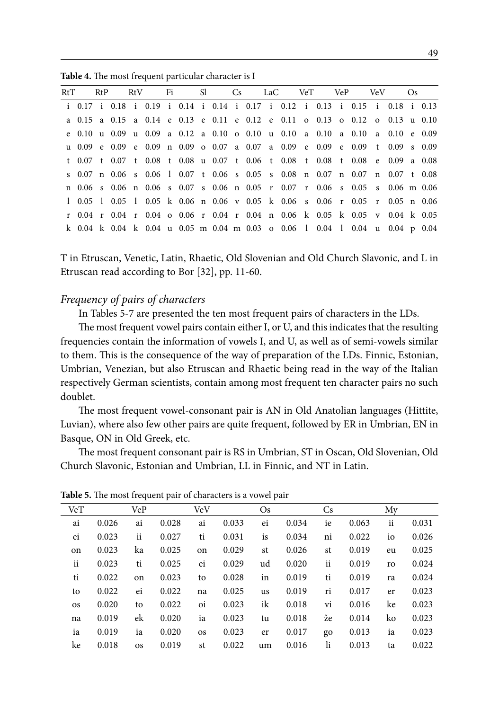|  |  | RtT RtP RtV Fi Sl Cs LaC VeT VeP VeV Os                                      |  |  |  |  |  |  |  |  |
|--|--|------------------------------------------------------------------------------|--|--|--|--|--|--|--|--|
|  |  | i 0.17 i 0.18 i 0.19 i 0.14 i 0.14 i 0.17 i 0.12 i 0.13 i 0.15 i 0.18 i 0.13 |  |  |  |  |  |  |  |  |
|  |  | a 0.15 a 0.15 a 0.14 e 0.13 e 0.11 e 0.12 e 0.11 o 0.13 o 0.12 o 0.13 u 0.10 |  |  |  |  |  |  |  |  |
|  |  | e 0.10 u 0.09 u 0.09 a 0.12 a 0.10 o 0.10 u 0.10 a 0.10 a 0.10 a 0.10 e 0.09 |  |  |  |  |  |  |  |  |
|  |  | u 0.09 e 0.09 e 0.09 n 0.09 o 0.07 a 0.07 a 0.09 e 0.09 e 0.09 t 0.09 s 0.09 |  |  |  |  |  |  |  |  |
|  |  | t 0.07 t 0.07 t 0.08 t 0.08 u 0.07 t 0.06 t 0.08 t 0.08 t 0.08 e 0.09 a 0.08 |  |  |  |  |  |  |  |  |
|  |  | s 0.07 n 0.06 s 0.06 l 0.07 t 0.06 s 0.05 s 0.08 n 0.07 n 0.07 n 0.07 t 0.08 |  |  |  |  |  |  |  |  |
|  |  | n 0.06 s 0.06 n 0.06 s 0.07 s 0.06 n 0.05 r 0.07 r 0.06 s 0.05 s 0.06 m 0.06 |  |  |  |  |  |  |  |  |
|  |  | 1 0.05 1 0.05 1 0.05 k 0.06 n 0.06 v 0.05 k 0.06 s 0.06 r 0.05 r 0.05 n 0.06 |  |  |  |  |  |  |  |  |
|  |  | r 0.04 r 0.04 r 0.04 o 0.06 r 0.04 r 0.04 n 0.06 k 0.05 k 0.05 v 0.04 k 0.05 |  |  |  |  |  |  |  |  |
|  |  | k 0.04 k 0.04 k 0.04 u 0.05 m 0.04 m 0.03 o 0.06 l 0.04 l 0.04 u 0.04 p 0.04 |  |  |  |  |  |  |  |  |

**Table 4.** The most frequent particular character is I

T in Etruscan, Venetic, Latin, Rhaetic, Old Slovenian and Old Church Slavonic, and L in Etruscan read according to Bor [32], pp. 11-60.

#### *Frequency of pairs of characters*

In Tables 5-7 are presented the ten most frequent pairs of characters in the LDs.

The most frequent vowel pairs contain either I, or U, and this indicates that the resulting frequencies contain the information of vowels I, and U, as well as of semi-vowels similar to them. This is the consequence of the way of preparation of the LDs. Finnic, Estonian, Umbrian, Venezian, but also Etruscan and Rhaetic being read in the way of the Italian respectively German scientists, contain among most frequent ten character pairs no such doublet.

The most frequent vowel-consonant pair is AN in Old Anatolian languages (Hittite, Luvian), where also few other pairs are quite frequent, followed by ER in Umbrian, EN in Basque, ON in Old Greek, etc.

The most frequent consonant pair is RS in Umbrian, ST in Oscan, Old Slovenian, Old Church Slavonic, Estonian and Umbrian, LL in Finnic, and NT in Latin.

| VeT       |       | VeP       |       | VeV       |       | $\rm Os$  |       | Cs |       | My |       |
|-----------|-------|-----------|-------|-----------|-------|-----------|-------|----|-------|----|-------|
| ai        | 0.026 | ai        | 0.028 | ai        | 0.033 | ei        | 0.034 | ie | 0.063 | ii | 0.031 |
| ei        | 0.023 | ii        | 0.027 | ti        | 0.031 | is        | 0.034 | ni | 0.022 | io | 0.026 |
| on        | 0.023 | ka        | 0.025 | on        | 0.029 | st        | 0.026 | st | 0.019 | eu | 0.025 |
| ii        | 0.023 | ti        | 0.025 | ei        | 0.029 | ud        | 0.020 | ii | 0.019 | ro | 0.024 |
| ti        | 0.022 | on        | 0.023 | to        | 0.028 | in        | 0.019 | ti | 0.019 | ra | 0.024 |
| to        | 0.022 | ei        | 0.022 | na        | 0.025 | <b>us</b> | 0.019 | ri | 0.017 | er | 0.023 |
| <b>OS</b> | 0.020 | to        | 0.022 | oi        | 0.023 | ik        | 0.018 | vi | 0.016 | ke | 0.023 |
| na        | 0.019 | ek        | 0.020 | ia        | 0.023 | tu        | 0.018 | že | 0.014 | ko | 0.023 |
| ia        | 0.019 | ia        | 0.020 | <b>OS</b> | 0.023 | er        | 0.017 | go | 0.013 | ia | 0.023 |
| ke        | 0.018 | <b>OS</b> | 0.019 | st        | 0.022 | um        | 0.016 | li | 0.013 | ta | 0.022 |
|           |       |           |       |           |       |           |       |    |       |    |       |

**Table 5.** The most frequent pair of characters is a vowel pair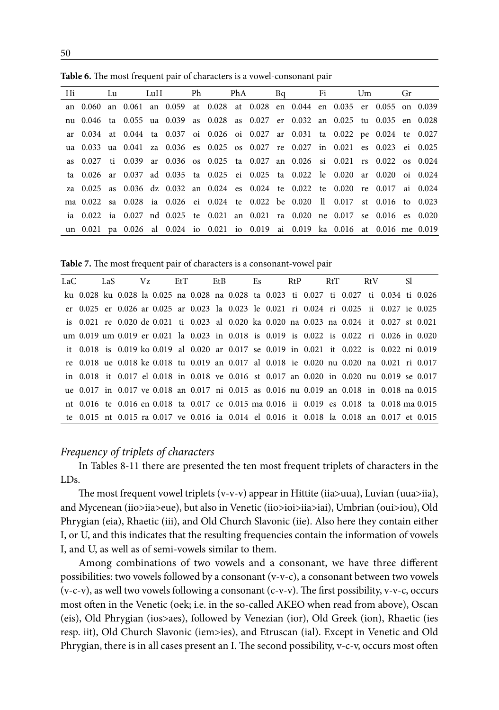| Hi Lu LuH Ph PhA Bq Fi Um Gr                                                     |  |  |  |  |  |  |  |  |
|----------------------------------------------------------------------------------|--|--|--|--|--|--|--|--|
| an 0.060 an 0.061 an 0.059 at 0.028 at 0.028 en 0.044 en 0.035 er 0.055 on 0.039 |  |  |  |  |  |  |  |  |
| nu 0.046 ta 0.055 ua 0.039 as 0.028 as 0.027 er 0.032 an 0.025 tu 0.035 en 0.028 |  |  |  |  |  |  |  |  |
| ar 0.034 at 0.044 ta 0.037 oi 0.026 oi 0.027 ar 0.031 ta 0.022 pe 0.024 te 0.027 |  |  |  |  |  |  |  |  |
| ua 0.033 ua 0.041 za 0.036 es 0.025 os 0.027 re 0.027 in 0.021 es 0.023 ei 0.025 |  |  |  |  |  |  |  |  |
| as 0.027 ti 0.039 ar 0.036 os 0.025 ta 0.027 an 0.026 si 0.021 rs 0.022 os 0.024 |  |  |  |  |  |  |  |  |
| ta 0.026 ar 0.037 ad 0.035 ta 0.025 ei 0.025 ta 0.022 le 0.020 ar 0.020 oi 0.024 |  |  |  |  |  |  |  |  |
| za 0.025 as 0.036 dz 0.032 an 0.024 es 0.024 te 0.022 te 0.020 re 0.017 ai 0.024 |  |  |  |  |  |  |  |  |
| ma 0.022 sa 0.028 ia 0.026 ei 0.024 te 0.022 be 0.020 ll 0.017 st 0.016 to 0.023 |  |  |  |  |  |  |  |  |
| ia 0.022 ia 0.027 nd 0.025 te 0.021 an 0.021 ra 0.020 ne 0.017 se 0.016 es 0.020 |  |  |  |  |  |  |  |  |
| un 0.021 pa 0.026 al 0.024 io 0.021 io 0.019 ai 0.019 ka 0.016 at 0.016 me 0.019 |  |  |  |  |  |  |  |  |

**Table 6.** The most frequent pair of characters is a vowel-consonant pair

**Table 7.** The most frequent pair of characters is a consonant-vowel pair

| LaC | LaS |  | Vz EtT |  | EtB Es RtP RtT                                                                            |  |  |  | RtV | - Sl |  |
|-----|-----|--|--------|--|-------------------------------------------------------------------------------------------|--|--|--|-----|------|--|
|     |     |  |        |  | ku 0.028 ku 0.028 la 0.025 na 0.028 na 0.028 ta 0.023 ti 0.027 ti 0.027 ti 0.034 ti 0.026 |  |  |  |     |      |  |
|     |     |  |        |  | er 0.025 er 0.026 ar 0.025 ar 0.023 la 0.023 le 0.021 ri 0.024 ri 0.025 ii 0.027 ie 0.025 |  |  |  |     |      |  |
|     |     |  |        |  | is 0.021 re 0.020 de 0.021 ti 0.023 al 0.020 ka 0.020 na 0.023 na 0.024 it 0.027 st 0.021 |  |  |  |     |      |  |
|     |     |  |        |  | um 0.019 um 0.019 er 0.021 la 0.023 in 0.018 is 0.019 is 0.022 is 0.022 ri 0.026 in 0.020 |  |  |  |     |      |  |
|     |     |  |        |  | it 0.018 is 0.019 ko 0.019 al 0.020 ar 0.017 se 0.019 in 0.021 it 0.022 is 0.022 ni 0.019 |  |  |  |     |      |  |
|     |     |  |        |  | re 0.018 ue 0.018 ke 0.018 tu 0.019 an 0.017 al 0.018 ie 0.020 nu 0.020 na 0.021 ri 0.017 |  |  |  |     |      |  |
|     |     |  |        |  | in 0.018 it 0.017 el 0.018 in 0.018 ve 0.016 st 0.017 an 0.020 in 0.020 nu 0.019 se 0.017 |  |  |  |     |      |  |
|     |     |  |        |  | ue 0.017 in 0.017 ve 0.018 an 0.017 ni 0.015 as 0.016 nu 0.019 an 0.018 in 0.018 na 0.015 |  |  |  |     |      |  |
|     |     |  |        |  | nt 0.016 te 0.016 en 0.018 ta 0.017 ce 0.015 ma 0.016 ii 0.019 es 0.018 ta 0.018 ma 0.015 |  |  |  |     |      |  |
|     |     |  |        |  | te 0.015 nt 0.015 ra 0.017 ve 0.016 ia 0.014 el 0.016 it 0.018 la 0.018 an 0.017 et 0.015 |  |  |  |     |      |  |
|     |     |  |        |  |                                                                                           |  |  |  |     |      |  |

## *Frequency of triplets of characters*

In Tables 8-11 there are presented the ten most frequent triplets of characters in the LDs.

The most frequent vowel triplets (v-v-v) appear in Hittite (iia>uua), Luvian (uua>iia), and Mycenean (iio>iia>eue), but also in Venetic (iio>ioi>iia>iai), Umbrian (oui>iou), Old Phrygian (eia), Rhaetic (iii), and Old Church Slavonic (iie). Also here they contain either I, or U, and this indicates that the resulting frequencies contain the information of vowels I, and U, as well as of semi-vowels similar to them.

Among combinations of two vowels and a consonant, we have three different possibilities: two vowels followed by a consonant (v-v-c), a consonant between two vowels (v-c-v), as well two vowels following a consonant (c-v-v). The first possibility, v-v-c, occurs most often in the Venetic (oek; i.e. in the so-called AKEO when read from above), Oscan (eis), Old Phrygian (ios>aes), followed by Venezian (ior), Old Greek (ion), Rhaetic (ies resp. iit), Old Church Slavonic (iem>ies), and Etruscan (ial). Except in Venetic and Old Phrygian, there is in all cases present an I. The second possibility, v-c-v, occurs most often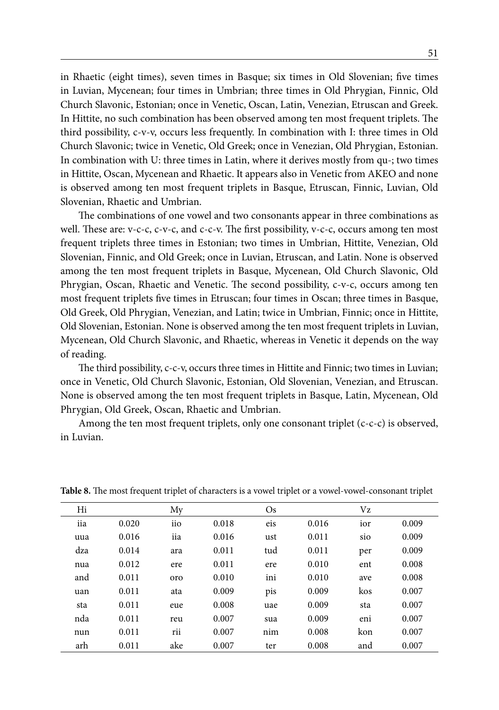in Rhaetic (eight times), seven times in Basque; six times in Old Slovenian; five times in Luvian, Mycenean; four times in Umbrian; three times in Old Phrygian, Finnic, Old Church Slavonic, Estonian; once in Venetic, Oscan, Latin, Venezian, Etruscan and Greek. In Hittite, no such combination has been observed among ten most frequent triplets. The third possibility, c-v-v, occurs less frequently. In combination with I: three times in Old Church Slavonic; twice in Venetic, Old Greek; once in Venezian, Old Phrygian, Estonian. In combination with U: three times in Latin, where it derives mostly from qu-; two times in Hittite, Oscan, Mycenean and Rhaetic. It appears also in Venetic from AKEO and none is observed among ten most frequent triplets in Basque, Etruscan, Finnic, Luvian, Old Slovenian, Rhaetic and Umbrian.

The combinations of one vowel and two consonants appear in three combinations as well. These are: v-c-c, c-v-c, and c-c-v. The first possibility, v-c-c, occurs among ten most frequent triplets three times in Estonian; two times in Umbrian, Hittite, Venezian, Old Slovenian, Finnic, and Old Greek; once in Luvian, Etruscan, and Latin. None is observed among the ten most frequent triplets in Basque, Mycenean, Old Church Slavonic, Old Phrygian, Oscan, Rhaetic and Venetic. The second possibility, c-v-c, occurs among ten most frequent triplets five times in Etruscan; four times in Oscan; three times in Basque, Old Greek, Old Phrygian, Venezian, and Latin; twice in Umbrian, Finnic; once in Hittite, Old Slovenian, Estonian. None is observed among the ten most frequent triplets in Luvian, Mycenean, Old Church Slavonic, and Rhaetic, whereas in Venetic it depends on the way of reading.

The third possibility, c-c-v, occurs three times in Hittite and Finnic; two times in Luvian; once in Venetic, Old Church Slavonic, Estonian, Old Slovenian, Venezian, and Etruscan. None is observed among the ten most frequent triplets in Basque, Latin, Mycenean, Old Phrygian, Old Greek, Oscan, Rhaetic and Umbrian.

Among the ten most frequent triplets, only one consonant triplet (c-c-c) is observed, in Luvian.

| Hi  |       | My  |       | $\rm Os$ |       | Vz  |       |
|-----|-------|-----|-------|----------|-------|-----|-------|
| iia | 0.020 | iio | 0.018 | eis      | 0.016 | ior | 0.009 |
| uua | 0.016 | iia | 0.016 | ust      | 0.011 | sio | 0.009 |
| dza | 0.014 | ara | 0.011 | tud      | 0.011 | per | 0.009 |
| nua | 0.012 | ere | 0.011 | ere      | 0.010 | ent | 0.008 |
| and | 0.011 | oro | 0.010 | ini      | 0.010 | ave | 0.008 |
| uan | 0.011 | ata | 0.009 | pis      | 0.009 | kos | 0.007 |
| sta | 0.011 | eue | 0.008 | uae      | 0.009 | sta | 0.007 |
| nda | 0.011 | reu | 0.007 | sua      | 0.009 | eni | 0.007 |
| nun | 0.011 | rii | 0.007 | nim      | 0.008 | kon | 0.007 |
| arh | 0.011 | ake | 0.007 | ter      | 0.008 | and | 0.007 |

**Table 8.** The most frequent triplet of characters is a vowel triplet or a vowel-vowel-consonant triplet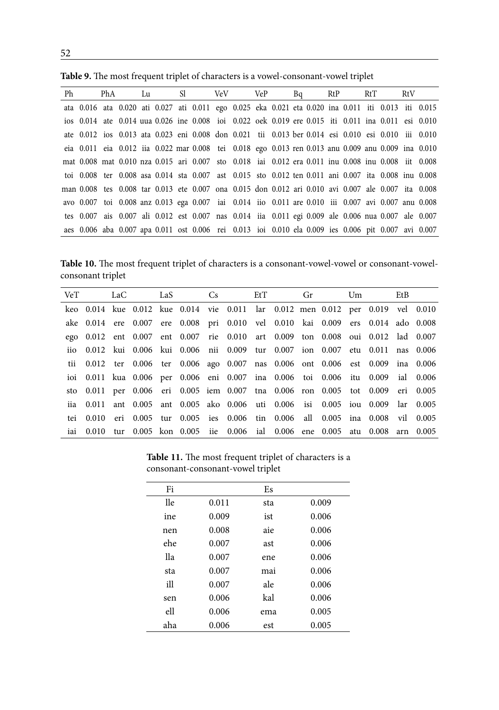| Ph | PhA |  |  | Lu Sl VeV VeP                                                                                       |  |  | Bq RtP |  | RtT | RtV |  |
|----|-----|--|--|-----------------------------------------------------------------------------------------------------|--|--|--------|--|-----|-----|--|
|    |     |  |  | ata 0.016 ata 0.020 ati 0.027 ati 0.011 ego 0.025 eka 0.021 eta 0.020 ina 0.011 iti 0.013 iti 0.015 |  |  |        |  |     |     |  |
|    |     |  |  | ios 0.014 ate 0.014 uua 0.026 ine 0.008 ioi 0.022 oek 0.019 ere 0.015 iti 0.011 ina 0.011 esi 0.010 |  |  |        |  |     |     |  |
|    |     |  |  | ate 0.012 ios 0.013 ata 0.023 eni 0.008 don 0.021 tii 0.013 ber 0.014 esi 0.010 esi 0.010 iii 0.010 |  |  |        |  |     |     |  |
|    |     |  |  | eia 0.011 eia 0.012 iia 0.022 mar 0.008 tei 0.018 ego 0.013 ren 0.013 anu 0.009 anu 0.009 ina 0.010 |  |  |        |  |     |     |  |
|    |     |  |  | mat 0.008 mat 0.010 nza 0.015 ari 0.007 sto 0.018 iai 0.012 era 0.011 inu 0.008 inu 0.008 iit 0.008 |  |  |        |  |     |     |  |
|    |     |  |  | toi 0.008 ter 0.008 asa 0.014 sta 0.007 ast 0.015 sto 0.012 ten 0.011 ani 0.007 ita 0.008 inu 0.008 |  |  |        |  |     |     |  |
|    |     |  |  | man 0.008 tes 0.008 tar 0.013 ete 0.007 ona 0.015 don 0.012 ari 0.010 avi 0.007 ale 0.007 ita 0.008 |  |  |        |  |     |     |  |
|    |     |  |  | avo 0.007 toi 0.008 anz 0.013 ega 0.007 iai 0.014 iio 0.011 are 0.010 iii 0.007 avi 0.007 anu 0.008 |  |  |        |  |     |     |  |
|    |     |  |  | tes 0.007 ais 0.007 ali 0.012 est 0.007 nas 0.014 ija 0.011 egi 0.009 ale 0.006 nua 0.007 ale 0.007 |  |  |        |  |     |     |  |
|    |     |  |  | aes 0.006 aba 0.007 apa 0.011 ost 0.006 rei 0.013 ioi 0.010 ela 0.009 ies 0.006 pit 0.007 avi 0.007 |  |  |        |  |     |     |  |

**Table 9.** The most frequent triplet of characters is a vowel-consonant-vowel triplet

Table 10. The most frequent triplet of characters is a consonant-vowel-vowel or consonant-vowelconsonant triplet

|  | VeT LaC LaS Cs EtT Gr Um |  |  |  |  |                                                                                 | EtB |  |
|--|--------------------------|--|--|--|--|---------------------------------------------------------------------------------|-----|--|
|  |                          |  |  |  |  | keo 0.014 kue 0.012 kue 0.014 vie 0.011 lar 0.012 men 0.012 per 0.019 vel 0.010 |     |  |
|  |                          |  |  |  |  | ake 0.014 ere 0.007 ere 0.008 pri 0.010 vel 0.010 kai 0.009 ers 0.014 ado 0.008 |     |  |
|  |                          |  |  |  |  | ego 0.012 ent 0.007 ent 0.007 rie 0.010 art 0.009 ton 0.008 oui 0.012 lad 0.007 |     |  |
|  |                          |  |  |  |  | iio 0.012 kui 0.006 kui 0.006 nii 0.009 tur 0.007 ion 0.007 etu 0.011 nas 0.006 |     |  |
|  |                          |  |  |  |  | tii 0.012 ter 0.006 ter 0.006 ago 0.007 nas 0.006 ont 0.006 est 0.009 ina 0.006 |     |  |
|  |                          |  |  |  |  | ioi 0.011 kua 0.006 per 0.006 eni 0.007 ina 0.006 toi 0.006 itu 0.009 ial 0.006 |     |  |
|  |                          |  |  |  |  | sto 0.011 per 0.006 eri 0.005 iem 0.007 tna 0.006 ron 0.005 tot 0.009 eri 0.005 |     |  |
|  |                          |  |  |  |  | iia 0.011 ant 0.005 ant 0.005 ako 0.006 uti 0.006 isi 0.005 iou 0.009 lar 0.005 |     |  |
|  |                          |  |  |  |  | tei 0.010 eri 0.005 tur 0.005 ies 0.006 tin 0.006 all 0.005 ina 0.008 vil 0.005 |     |  |
|  |                          |  |  |  |  | iai 0.010 tur 0.005 kon 0.005 iie 0.006 ial 0.006 ene 0.005 atu 0.008 arn 0.005 |     |  |

**Table 11.** The most frequent triplet of characters is a consonant-consonant-vowel triplet

| Fi  |       | Es  |       |
|-----|-------|-----|-------|
| lle | 0.011 | sta | 0.009 |
| ine | 0.009 | ist | 0.006 |
| nen | 0.008 | aie | 0.006 |
| ehe | 0.007 | ast | 0.006 |
| lla | 0.007 | ene | 0.006 |
| sta | 0.007 | mai | 0.006 |
| ill | 0.007 | ale | 0.006 |
| sen | 0.006 | kal | 0.006 |
| ell | 0.006 | ema | 0.005 |
| aha | 0.006 | est | 0.005 |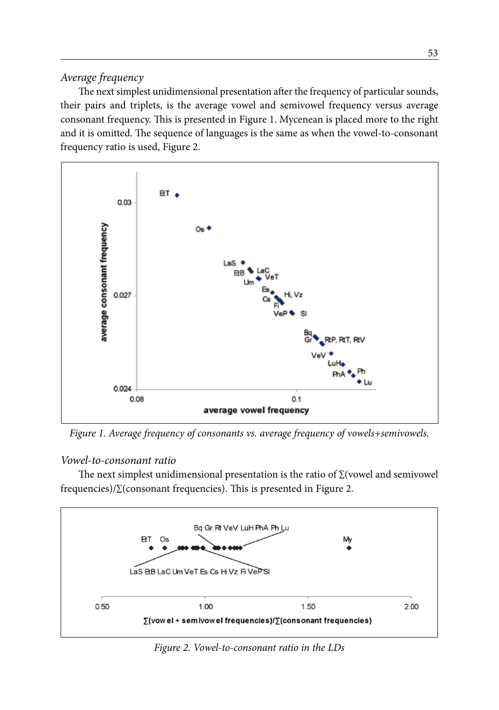## *Average frequency*

The next simplest unidimensional presentation after the frequency of particular sounds, their pairs and triplets, is the average vowel and semivowel frequency versus average consonant frequency. This is presented in Figure 1. Mycenean is placed more to the right and it is omitted. The sequence of languages is the same as when the vowel-to-consonant frequency ratio is used, Figure 2.



*Figure 1. Average frequency of consonants vs. average frequency of vowels+semivowels.*

## *Vowel-to-consonant ratio*

The next simplest unidimensional presentation is the ratio of ∑(vowel and semivowel frequencies)/∑(consonant frequencies). This is presented in Figure 2.



*Figure 2. Vowel-to-consonant ratio in the LDs*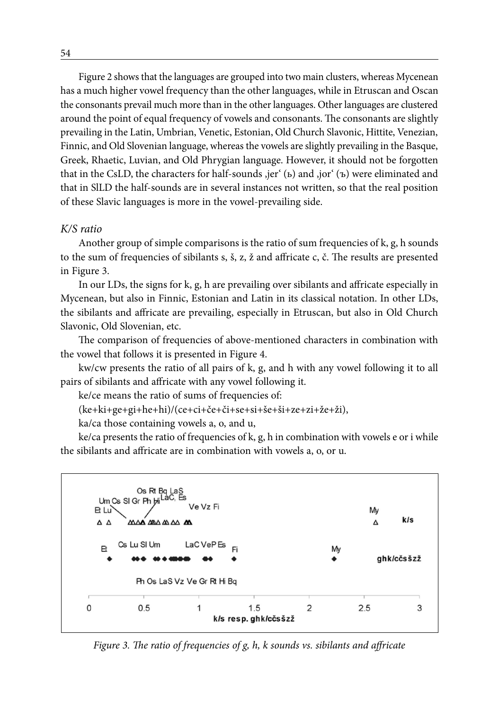Figure 2 shows that the languages are grouped into two main clusters, whereas Mycenean has a much higher vowel frequency than the other languages, while in Etruscan and Oscan the consonants prevail much more than in the other languages. Other languages are clustered around the point of equal frequency of vowels and consonants. The consonants are slightly prevailing in the Latin, Umbrian, Venetic, Estonian, Old Church Slavonic, Hittite, Venezian, Finnic, and Old Slovenian language, whereas the vowels are slightly prevailing in the Basque, Greek, Rhaetic, Luvian, and Old Phrygian language. However, it should not be forgotten that in the CsLD, the characters for half-sounds  $\text{er}^{\cdot}$  (b) and  $\text{or}^{\cdot}$  ( $\text{b}$ ) were eliminated and that in SlLD the half-sounds are in several instances not written, so that the real position of these Slavic languages is more in the vowel-prevailing side.

#### *K/S ratio*

Another group of simple comparisons is the ratio of sum frequencies of k, g, h sounds to the sum of frequencies of sibilants s, š, z, ž and affricate c, č. The results are presented in Figure 3.

In our LDs, the signs for k, g, h are prevailing over sibilants and affricate especially in Mycenean, but also in Finnic, Estonian and Latin in its classical notation. In other LDs, the sibilants and affricate are prevailing, especially in Etruscan, but also in Old Church Slavonic, Old Slovenian, etc.

The comparison of frequencies of above-mentioned characters in combination with the vowel that follows it is presented in Figure 4.

kw/cw presents the ratio of all pairs of k, g, and h with any vowel following it to all pairs of sibilants and affricate with any vowel following it.

ke/ce means the ratio of sums of frequencies of:

```
(ke+ki+ge+gi+he+hi)/(ce+ci+če+či+se+si+še+ši+ze+zi+že+ži),
```
ka/ca those containing vowels a, o, and u,

ke/ca presents the ratio of frequencies of k, g, h in combination with vowels e or i while the sibilants and affricate are in combination with vowels a, o, or u.



*Figure 3. The ratio of frequencies of g, h, k sounds vs. sibilants and affricate*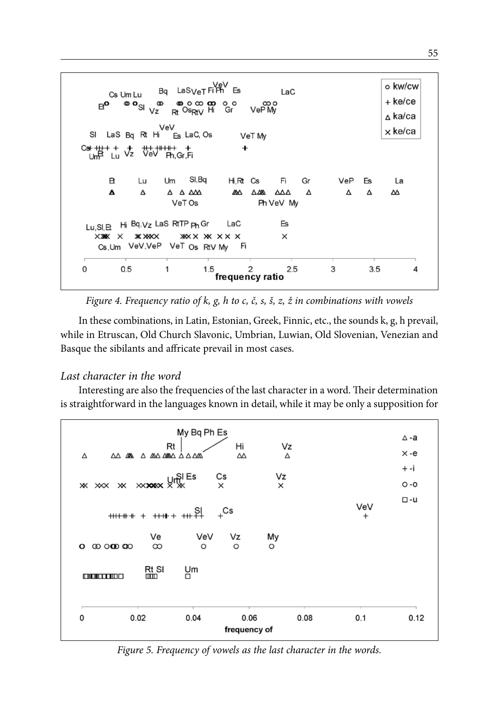$Bq$  LaS<sub>Ve</sub>T Fi $\overline{P}$ <sup>VeV</sup> Es o kw/cw LaC Cs Um Lu ຶືິ + ke/ce  $E^{\bullet}$  $\bullet$  0  $\infty$   $\infty$ ത  $\Omega$ oo<br>VePM  $R_1$  Os $R_1$ <sub>V</sub> Hi ∧ ka/ca x ke/ca SI LaS Bg Rt Hi Es LaC, Os VeT My  $C_{\text{sh}}$ <sup>+</sup>  $+$  +  $+$  +  $+$  +  $+$  +  $+$  +  $+$  +  $+$  +  $+$  +  $+$  +  $+$  +  $+$  +  $+$  +  $+$  +  $+$  +  $+$  +  $+$  +  $+$  +  $+$  +  $+$  +  $+$  +  $+$  +  $+$  +  $+$  +  $+$  +  $+$  +  $+$  +  $+$  +  $+$  +  $+$  +  $+$  +  $+$  +  $+$  +  $+$  +  $+$  +  $+$  ÷. 쁎 Ph.Gr.Fi R SI, Bq Lп  $Um$  $H \ R$   $Cs$ Fi Gr La VeP Fe  $\triangle$   $\triangle$   $\triangle$ Δ Δ *</del>* ΔΔΔ Δ ΔΔ  $\triangle M$ Δ Δ VeT Os Ph VeV My Lu.SI.Et Hi Bq, Vz LaS RtTP ph Gr Es LaC XXXXXX  $*$   $*$ **XXX XX XX X**  $\times$ Cs, Um VeV, VeP VeT Os RtV My Fi  $\frac{2}{3}$ frequency ratio  $0.5$ 3  $\pmb{0}$ 1 1.5  $2.5$  $3.5$ 4

*Figure 4. Frequency ratio of k, g, h to c, č, s, š, z, ž in combinations with vowels*

In these combinations, in Latin, Estonian, Greek, Finnic, etc., the sounds k, g, h prevail, while in Etruscan, Old Church Slavonic, Umbrian, Luwian, Old Slovenian, Venezian and Basque the sibilants and affricate prevail in most cases.

## *Last character in the word*

Interesting are also the frequencies of the last character in a word. Their determination is straightforward in the languages known in detail, while it may be only a supposition for



*Figure 5. Frequency of vowels as the last character in the words.*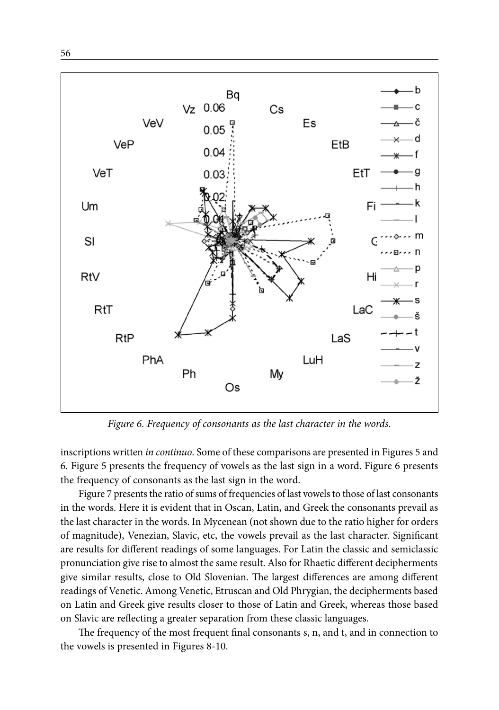



 $\longrightarrow b$ 

*Figure 6. Frequency of consonants as the last character in the words.*

inscriptions written *in continuo*. Some of these comparisons are presented in Figures 5 and 6. Figure 5 presents the frequency of vowels as the last sign in a word. Figure 6 presents the frequency of consonants as the last sign in the word.

Figure 7 presents the ratio of sums of frequencies of last vowels to those of last consonants in the words. Here it is evident that in Oscan, Latin, and Greek the consonants prevail as the last character in the words. In Mycenean (not shown due to the ratio higher for orders of magnitude), Venezian, Slavic, etc, the vowels prevail as the last character. Significant are results for different readings of some languages. For Latin the classic and semiclassic pronunciation give rise to almost the same result. Also for Rhaetic different decipherments give similar results, close to Old Slovenian. The largest differences are among different readings of Venetic. Among Venetic, Etruscan and Old Phrygian, the decipherments based on Latin and Greek give results closer to those of Latin and Greek, whereas those based on Slavic are reflecting a greater separation from these classic languages.

The frequency of the most frequent final consonants s, n, and t, and in connection to the vowels is presented in Figures 8-10.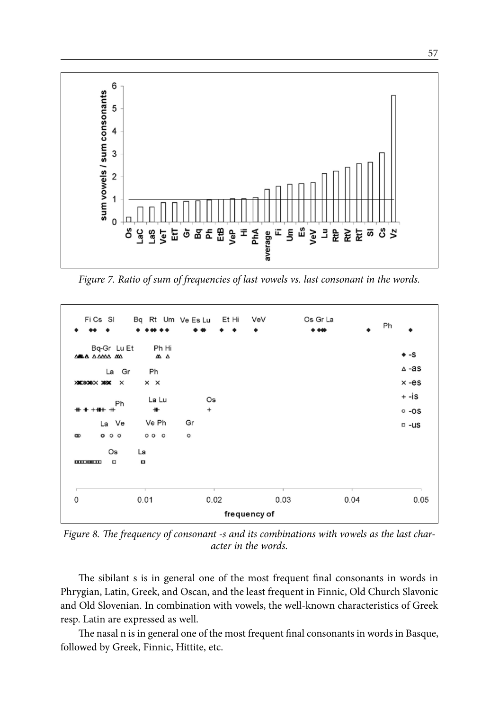

*Figure 7. Ratio of sum of frequencies of last vowels vs. last consonant in the words.*



*Figure 8. The frequency of consonant -s and its combinations with vowels as the last character in the words.*

The sibilant s is in general one of the most frequent final consonants in words in Phrygian, Latin, Greek, and Oscan, and the least frequent in Finnic, Old Church Slavonic and Old Slovenian. In combination with vowels, the well-known characteristics of Greek resp. Latin are expressed as well.

The nasal n is in general one of the most frequent final consonants in words in Basque, followed by Greek, Finnic, Hittite, etc.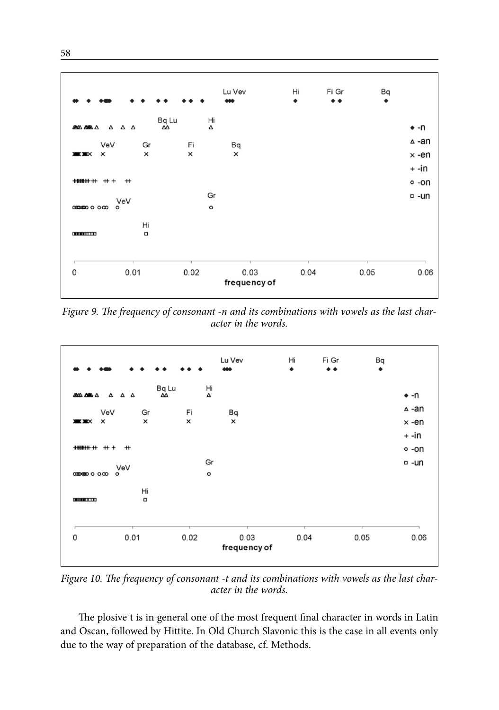

*Figure 9. The frequency of consonant -n and its combinations with vowels as the last character in the words.*



*Figure 10. The frequency of consonant -t and its combinations with vowels as the last character in the words.*

The plosive t is in general one of the most frequent final character in words in Latin and Oscan, followed by Hittite. In Old Church Slavonic this is the case in all events only due to the way of preparation of the database, cf. Methods.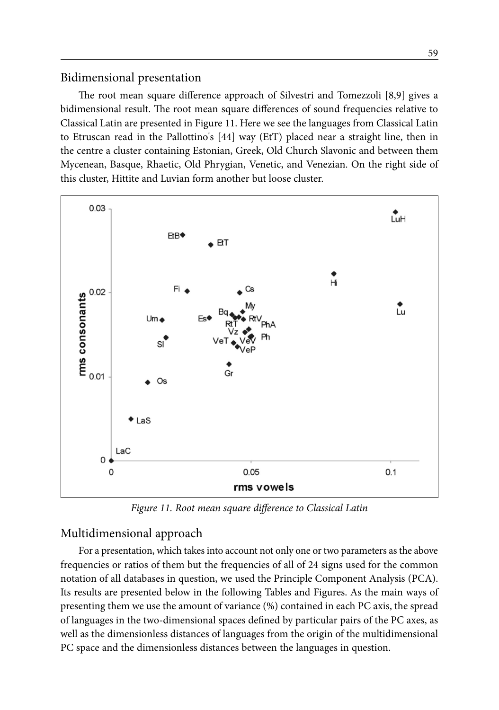## Bidimensional presentation

The root mean square difference approach of Silvestri and Tomezzoli [8,9] gives a bidimensional result. The root mean square differences of sound frequencies relative to Classical Latin are presented in Figure 11. Here we see the languages from Classical Latin to Etruscan read in the Pallottino's [44] way (EtT) placed near a straight line, then in the centre a cluster containing Estonian, Greek, Old Church Slavonic and between them Mycenean, Basque, Rhaetic, Old Phrygian, Venetic, and Venezian. On the right side of this cluster, Hittite and Luvian form another but loose cluster.



*Figure 11. Root mean square difference to Classical Latin*

## Multidimensional approach

For a presentation, which takes into account not only one or two parameters as the above frequencies or ratios of them but the frequencies of all of 24 signs used for the common notation of all databases in question, we used the Principle Component Analysis (PCA). Its results are presented below in the following Tables and Figures. As the main ways of presenting them we use the amount of variance (%) contained in each PC axis, the spread of languages in the two-dimensional spaces defined by particular pairs of the PC axes, as well as the dimensionless distances of languages from the origin of the multidimensional PC space and the dimensionless distances between the languages in question.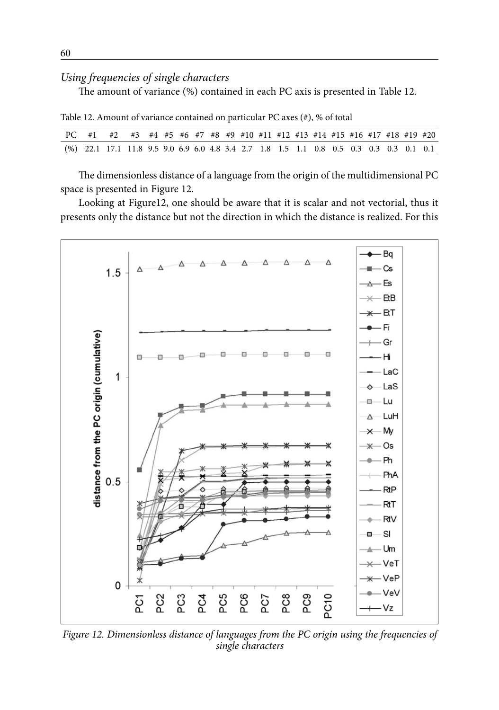# *Using frequencies of single characters*

The amount of variance (%) contained in each PC axis is presented in Table 12.

Table 12. Amount of variance contained on particular PC axes (#), % of total

| PC #1 #2 #3 #4 #5 #6 #7 #8 #9 #10 #11 #12 #13 #14 #15 #16 #17 #18 #19 #20                 |  |  |  |  |  |  |  |  |  |  |
|-------------------------------------------------------------------------------------------|--|--|--|--|--|--|--|--|--|--|
| $(\%)$ 22.1 17.1 11.8 9.5 9.0 6.9 6.0 4.8 3.4 2.7 1.8 1.5 1.1 0.8 0.5 0.3 0.3 0.3 0.1 0.1 |  |  |  |  |  |  |  |  |  |  |

The dimensionless distance of a language from the origin of the multidimensional PC space is presented in Figure 12.

Looking at Figure12, one should be aware that it is scalar and not vectorial, thus it presents only the distance but not the direction in which the distance is realized. For this



*Figure 12. Dimensionless distance of languages from the PC origin using the frequencies of single characters*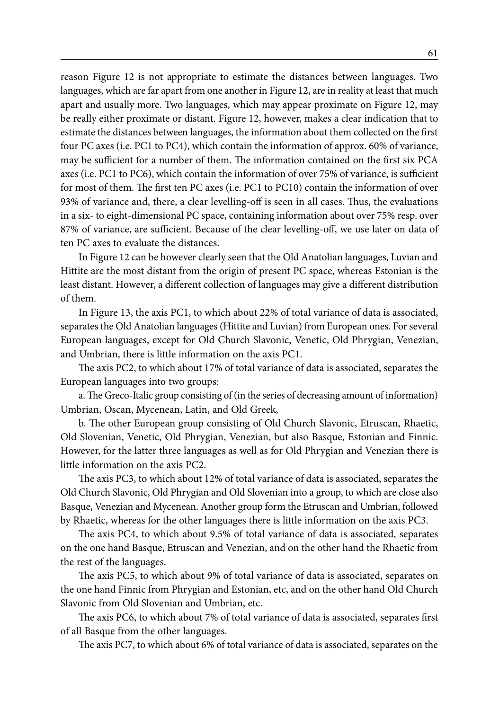reason Figure 12 is not appropriate to estimate the distances between languages. Two languages, which are far apart from one another in Figure 12, are in reality at least that much apart and usually more. Two languages, which may appear proximate on Figure 12, may be really either proximate or distant. Figure 12, however, makes a clear indication that to estimate the distances between languages, the information about them collected on the first four PC axes (i.e. PC1 to PC4), which contain the information of approx. 60% of variance, may be sufficient for a number of them. The information contained on the first six PCA axes (i.e. PC1 to PC6), which contain the information of over 75% of variance, is sufficient for most of them. The first ten PC axes (i.e. PC1 to PC10) contain the information of over 93% of variance and, there, a clear levelling-off is seen in all cases. Thus, the evaluations in a six- to eight-dimensional PC space, containing information about over 75% resp. over 87% of variance, are sufficient. Because of the clear levelling-off, we use later on data of ten PC axes to evaluate the distances.

In Figure 12 can be however clearly seen that the Old Anatolian languages, Luvian and Hittite are the most distant from the origin of present PC space, whereas Estonian is the least distant. However, a different collection of languages may give a different distribution of them.

In Figure 13, the axis PC1, to which about 22% of total variance of data is associated, separates the Old Anatolian languages (Hittite and Luvian) from European ones. For several European languages, except for Old Church Slavonic, Venetic, Old Phrygian, Venezian, and Umbrian, there is little information on the axis PC1.

The axis PC2, to which about 17% of total variance of data is associated, separates the European languages into two groups:

a. The Greco-Italic group consisting of (in the series of decreasing amount of information) Umbrian, Oscan, Mycenean, Latin, and Old Greek,

b. The other European group consisting of Old Church Slavonic, Etruscan, Rhaetic, Old Slovenian, Venetic, Old Phrygian, Venezian, but also Basque, Estonian and Finnic. However, for the latter three languages as well as for Old Phrygian and Venezian there is little information on the axis PC2.

The axis PC3, to which about 12% of total variance of data is associated, separates the Old Church Slavonic, Old Phrygian and Old Slovenian into a group, to which are close also Basque, Venezian and Mycenean. Another group form the Etruscan and Umbrian, followed by Rhaetic, whereas for the other languages there is little information on the axis PC3.

The axis PC4, to which about 9.5% of total variance of data is associated, separates on the one hand Basque, Etruscan and Venezian, and on the other hand the Rhaetic from the rest of the languages.

The axis PC5, to which about 9% of total variance of data is associated, separates on the one hand Finnic from Phrygian and Estonian, etc, and on the other hand Old Church Slavonic from Old Slovenian and Umbrian, etc.

The axis PC6, to which about 7% of total variance of data is associated, separates first of all Basque from the other languages.

The axis PC7, to which about 6% of total variance of data is associated, separates on the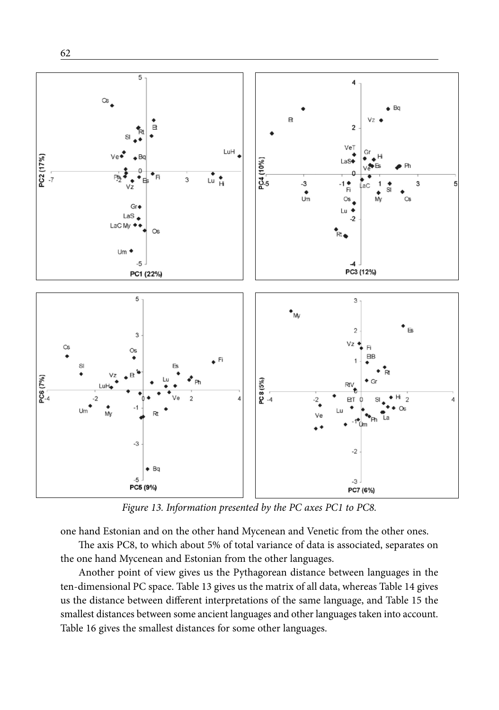

*Figure 13. Information presented by the PC axes PC1 to PC8.*

one hand Estonian and on the other hand Mycenean and Venetic from the other ones.

The axis PC8, to which about 5% of total variance of data is associated, separates on the one hand Mycenean and Estonian from the other languages.

Another point of view gives us the Pythagorean distance between languages in the ten-dimensional PC space. Table 13 gives us the matrix of all data, whereas Table 14 gives us the distance between different interpretations of the same language, and Table 15 the smallest distances between some ancient languages and other languages taken into account. Table 16 gives the smallest distances for some other languages.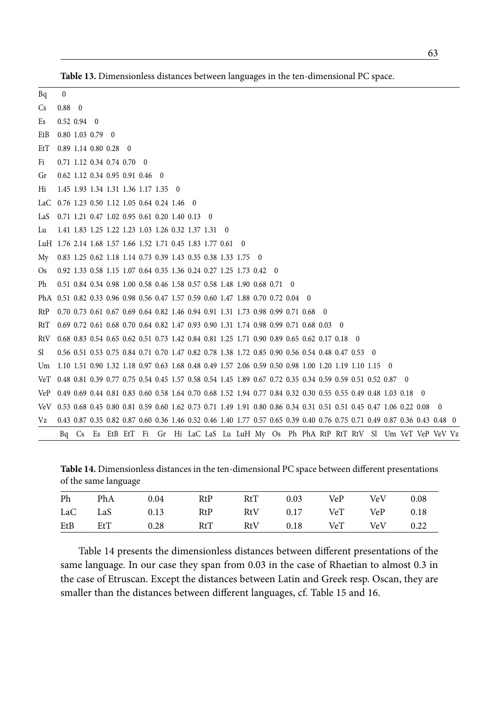| Bq                                                                                                                       | $\mathbf{0}$                                                            |  |                                                                                                                           |  |  |  |  |  |  |  |  |  |  |  |
|--------------------------------------------------------------------------------------------------------------------------|-------------------------------------------------------------------------|--|---------------------------------------------------------------------------------------------------------------------------|--|--|--|--|--|--|--|--|--|--|--|
| <b>Cs</b>                                                                                                                | $0.88 \quad 0$                                                          |  |                                                                                                                           |  |  |  |  |  |  |  |  |  |  |  |
| Es                                                                                                                       | $0.52$ 0.94 0                                                           |  |                                                                                                                           |  |  |  |  |  |  |  |  |  |  |  |
| EtB                                                                                                                      | $0.80$ 1.03 0.79 0                                                      |  |                                                                                                                           |  |  |  |  |  |  |  |  |  |  |  |
| EtT                                                                                                                      | $0.89$ 1.14 0.80 0.28 0                                                 |  |                                                                                                                           |  |  |  |  |  |  |  |  |  |  |  |
| Fi                                                                                                                       |                                                                         |  | 0.71 1.12 0.34 0.74 0.70 0                                                                                                |  |  |  |  |  |  |  |  |  |  |  |
| Gr                                                                                                                       |                                                                         |  | 0.62 1.12 0.34 0.95 0.91 0.46 0                                                                                           |  |  |  |  |  |  |  |  |  |  |  |
| Hi                                                                                                                       |                                                                         |  | 1.45 1.93 1.34 1.31 1.36 1.17 1.35 0                                                                                      |  |  |  |  |  |  |  |  |  |  |  |
| LaC 0.76 1.23 0.50 1.12 1.05 0.64 0.24 1.46 0                                                                            |                                                                         |  |                                                                                                                           |  |  |  |  |  |  |  |  |  |  |  |
| LaS 0.71 1.21 0.47 1.02 0.95 0.61 0.20 1.40 0.13 0                                                                       |                                                                         |  |                                                                                                                           |  |  |  |  |  |  |  |  |  |  |  |
| Lu                                                                                                                       |                                                                         |  | 1.41 1.83 1.25 1.22 1.23 1.03 1.26 0.32 1.37 1.31 0                                                                       |  |  |  |  |  |  |  |  |  |  |  |
| LuH 1.76 2.14 1.68 1.57 1.66 1.52 1.71 0.45 1.83 1.77 0.61 0                                                             |                                                                         |  |                                                                                                                           |  |  |  |  |  |  |  |  |  |  |  |
| My 0.83 1.25 0.62 1.18 1.14 0.73 0.39 1.43 0.35 0.38 1.33 1.75 0                                                         |                                                                         |  |                                                                                                                           |  |  |  |  |  |  |  |  |  |  |  |
| Os                                                                                                                       | 0.92 1.33 0.58 1.15 1.07 0.64 0.35 1.36 0.24 0.27 1.25 1.73 0.42 0      |  |                                                                                                                           |  |  |  |  |  |  |  |  |  |  |  |
| Ph                                                                                                                       | 0.51 0.84 0.34 0.98 1.00 0.58 0.46 1.58 0.57 0.58 1.48 1.90 0.68 0.71 0 |  |                                                                                                                           |  |  |  |  |  |  |  |  |  |  |  |
| PhA 0.51 0.82 0.33 0.96 0.98 0.56 0.47 1.57 0.59 0.60 1.47 1.88 0.70 0.72 0.04 0                                         |                                                                         |  |                                                                                                                           |  |  |  |  |  |  |  |  |  |  |  |
| RtP 0.70 0.73 0.61 0.67 0.69 0.64 0.82 1.46 0.94 0.91 1.31 1.73 0.98 0.99 0.71 0.68 0                                    |                                                                         |  |                                                                                                                           |  |  |  |  |  |  |  |  |  |  |  |
| RtT 0.69 0.72 0.61 0.68 0.70 0.64 0.82 1.47 0.93 0.90 1.31 1.74 0.98 0.99 0.71 0.68 0.03 0                               |                                                                         |  |                                                                                                                           |  |  |  |  |  |  |  |  |  |  |  |
| RtV 0.68 0.83 0.54 0.65 0.62 0.51 0.73 1.42 0.84 0.81 1.25 1.71 0.90 0.89 0.65 0.62 0.17 0.18 0                          |                                                                         |  |                                                                                                                           |  |  |  |  |  |  |  |  |  |  |  |
| Sl.                                                                                                                      |                                                                         |  | 0.56 0.51 0.53 0.75 0.84 0.71 0.70 1.47 0.82 0.78 1.38 1.72 0.85 0.90 0.56 0.54 0.48 0.47 0.53 0                          |  |  |  |  |  |  |  |  |  |  |  |
| Um 1.10 1.51 0.90 1.32 1.18 0.97 0.63 1.68 0.48 0.49 1.57 2.06 0.59 0.50 0.98 1.00 1.20 1.19 1.10 1.15 0                 |                                                                         |  |                                                                                                                           |  |  |  |  |  |  |  |  |  |  |  |
| VeT 0.48 0.81 0.39 0.77 0.75 0.54 0.45 1.57 0.58 0.54 1.45 1.89 0.67 0.72 0.35 0.34 0.59 0.59 0.51 0.52 0.87 0           |                                                                         |  |                                                                                                                           |  |  |  |  |  |  |  |  |  |  |  |
| VeP 0.49 0.69 0.44 0.81 0.83 0.60 0.58 1.64 0.70 0.68 1.52 1.94 0.77 0.84 0.32 0.30 0.55 0.55 0.49 0.48 1.03 0.18 0      |                                                                         |  |                                                                                                                           |  |  |  |  |  |  |  |  |  |  |  |
| VeV 0.53 0.68 0.45 0.80 0.81 0.59 0.60 1.62 0.73 0.71 1.49 1.91 0.80 0.86 0.34 0.31 0.51 0.51 0.45 0.47 1.06 0.22 0.08 0 |                                                                         |  |                                                                                                                           |  |  |  |  |  |  |  |  |  |  |  |
| Vz                                                                                                                       |                                                                         |  | 0.43 0.87 0.35 0.82 0.87 0.60 0.36 1.46 0.52 0.46 1.40 1.77 0.57 0.65 0.39 0.40 0.76 0.75 0.71 0.49 0.87 0.36 0.43 0.48 0 |  |  |  |  |  |  |  |  |  |  |  |
|                                                                                                                          |                                                                         |  | Bq Cs Es EtB EtT Fi Gr Hi LaC LaS Lu LuH My Os Ph PhA RtP RtT RtV Sl Um VeT VeP VeV Vz                                    |  |  |  |  |  |  |  |  |  |  |  |

**Table 13.** Dimensionless distances between languages in the ten-dimensional PC space.

**Table 14.** Dimensionless distances in the ten-dimensional PC space between different presentations of the same language

| Ph  |     | PhA 0.04 RtP     | RtT 0.03 VeP VeV      |  | 0.08 |
|-----|-----|------------------|-----------------------|--|------|
|     |     | LaC LaS 0.13 RtP | RtV 0.17 VeT VeP 0.18 |  |      |
| EtB | EtT | 0.28 RtT         | RtV 0.18 VeT VeV 0.22 |  |      |

Table 14 presents the dimensionless distances between different presentations of the same language. In our case they span from 0.03 in the case of Rhaetian to almost 0.3 in the case of Etruscan. Except the distances between Latin and Greek resp. Oscan, they are smaller than the distances between different languages, cf. Table 15 and 16.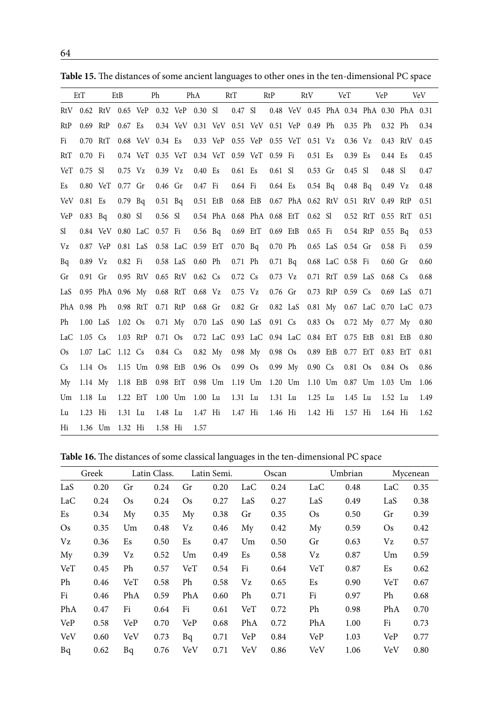|           | EtT         |                           | EtB       |                  | Ph        |                                             | PhA        |                            | RtT                |         | RtP       |                                          | RtV                     |                   | VeT       |                   | VeP        |                        | <b>VeV</b> |
|-----------|-------------|---------------------------|-----------|------------------|-----------|---------------------------------------------|------------|----------------------------|--------------------|---------|-----------|------------------------------------------|-------------------------|-------------------|-----------|-------------------|------------|------------------------|------------|
|           |             |                           |           |                  |           | RtV 0.62 RtV 0.65 VeP 0.32 VeP 0.30 Sl      |            |                            |                    | 0.47 Sl |           | 0.48 VeV 0.45 PhA 0.34 PhA 0.30 PhA 0.31 |                         |                   |           |                   |            |                        |            |
| RtP       | 0.69 RtP    |                           | 0.67 Es   |                  |           | 0.34 VeV 0.31 VeV 0.51 VeV 0.51 VeP 0.49 Ph |            |                            |                    |         |           |                                          |                         |                   | $0.35$ Ph |                   | 0.32 Ph    |                        | 0.34       |
| Fi        | 0.70 RtT    |                           |           | 0.68 VeV 0.34 Es |           |                                             |            |                            |                    |         |           | 0.33 VeP 0.55 VeP 0.55 VeT 0.51 Vz       |                         |                   | $0.36$ Vz |                   |            | 0.43 RtV               | 0.45       |
| RtT       | 0.70 Fi     |                           |           |                  |           | 0.74 VeT 0.35 VeT 0.34 VeT 0.59 VeT 0.59 Fi |            |                            |                    |         |           |                                          | 0.51 Es                 |                   | 0.39 Es   |                   | 0.44 Es    |                        | 0.45       |
| VeT       | $0.75$ Sl   |                           | $0.75$ Vz |                  | $0.39$ Vz |                                             | 0.40 Es    |                            | 0.61 Es            |         | $0.61$ Sl |                                          | $0.53$ Gr               |                   | 0.45 Sl   |                   | 0.48 SI    |                        | 0.47       |
| Es        |             | 0.80 VeT                  | 0.77 Gr   |                  | 0.46 Gr   |                                             | 0.47 Fi    |                            | 0.64 Fi            |         | 0.64 Es   |                                          | $0.54$ Bq               |                   | $0.48$ Bq |                   | 0.49 Vz    |                        | 0.48       |
|           | VeV 0.81 Es |                           | $0.79$ Bq |                  | $0.51$ Bq |                                             | 0.51 EtB   |                            | 0.68 EtB           |         |           | 0.67 PhA 0.62 RtV 0.51 RtV               |                         |                   |           |                   | 0.49 RtP   |                        | 0.51       |
| VeP       | $0.83$ Bq   |                           | 0.80 SI   |                  | $0.56$ Sl |                                             |            | 0.54 PhA 0.68 PhA 0.68 EtT |                    |         |           |                                          | $0.62$ Sl               |                   |           | 0.52 RtT 0.55 RtT |            |                        | 0.51       |
| Sl        |             | 0.84 VeV 0.80 LaC 0.57 Fi |           |                  |           |                                             | $0.56$ Bq  |                            | 0.69 EtT           |         | 0.69 EtB  |                                          | 0.65 Fi                 |                   | 0.54 RtP  |                   | $0.55$ Bq  |                        | 0.53       |
| Vz        | 0.87 VeP    |                           | 0.81 LaS  |                  |           | 0.58 LaC 0.59 EtT                           |            |                            | 0.70 <sub>Bq</sub> |         | 0.70 Ph   |                                          |                         | 0.65 LaS 0.54 Gr  |           |                   | 0.58 Fi    |                        | 0.59       |
| Bq        | $0.89$ Vz   |                           | 0.82 Fi   |                  | 0.58 LaS  |                                             | 0.60 Ph    |                            | 0.71 Ph            |         |           | $0.71\quad Bq$                           |                         | 0.68 LaC 0.58 Fi  |           |                   | $0.60$ Gr  |                        | 0.60       |
| Gr        | $0.91$ Gr   |                           | 0.95 RtV  |                  |           | 0.65 RtV 0.62 Cs                            |            |                            | 0.72 Cs            |         | $0.73$ Vz |                                          |                         | 0.71 RtT 0.59 LaS |           |                   | $0.68$ Cs  |                        | 0.68       |
| LaS       |             | 0.95 PhA 0.96 My          |           |                  | 0.68 RtT  |                                             | $0.68$ Vz  |                            | $0.75$ Vz          |         | $0.76$ Gr |                                          |                         | 0.73 RtP 0.59 Cs  |           |                   | $0.69$ LaS |                        | 0.71       |
|           | PhA 0.98 Ph |                           | 0.98 RtT  |                  | 0.71 RtP  |                                             | $0.68$ Gr  |                            | 0.82 Gr            |         | 0.82 LaS  |                                          | 0.81 My                 |                   |           |                   |            | 0.67 LaC 0.70 LaC 0.73 |            |
| Ph        | $1.00$ LaS  |                           | $1.02$ Os |                  |           | 0.71 My                                     | $0.70$ LaS |                            | 0.90 LaS           |         | 0.91 Cs   |                                          | $0.83$ Os               |                   |           | 0.72 My 0.77 My   |            |                        | 0.80       |
| LaC       | $1.05$ Cs   |                           | 1.03 RtP  |                  | 0.71 Os   |                                             |            |                            |                    |         |           | 0.72 LaC 0.93 LaC 0.94 LaC 0.84 EtT      |                         |                   | 0.75 EtB  |                   | 0.81 EtB   |                        | 0.80       |
| <b>Os</b> |             | 1.07 LaC                  | 1.12 Cs   |                  | 0.84 Cs   |                                             | 0.82 My    |                            | $0.98$ My          |         | $0.98$ Os |                                          | 0.89 EtB                |                   | 0.77 EtT  |                   | 0.83 EtT   |                        | 0.81       |
| Cs        | 1.14 Os     |                           | 1.15 Um   |                  | 0.98 EtB  |                                             | $0.96$ Os  |                            | $0.99$ Os          |         | $0.99$ My |                                          | $0.90 \text{ Cs}$       |                   | 0.81 Os   |                   | $0.84$ Os  |                        | 0.86       |
| My        | $1.14$ My   |                           | 1.18 EtB  |                  | 0.98 EtT  |                                             | 0.98 Um    |                            | 1.19 Um            |         | $1.20$ Um |                                          | 1.10 Um 0.87 Um 1.03 Um |                   |           |                   |            |                        | 1.06       |
| Um        | 1.18 Lu     |                           | 1.22 EtT  |                  | $1.00$ Um |                                             | 1.00 Lu    |                            | 1.31 Lu            |         | 1.31 Lu   |                                          | $1.25$ Lu               |                   | 1.45 Lu   |                   | 1.52 Lu    |                        | 1.49       |
| Lu        | 1.23 Hi     |                           | 1.31 Lu   |                  | 1.48 Lu   |                                             | 1.47 Hi    |                            | 1.47 Hi            |         | 1.46 Hi   |                                          | 1.42 Hi                 |                   | 1.57 Hi   |                   | 1.64 Hi    |                        | 1.62       |
| Hi        | 1.36 Um     |                           | 1.32 Hi   |                  | 1.58 Hi   |                                             | 1.57       |                            |                    |         |           |                                          |                         |                   |           |                   |            |                        |            |

**Table 15.** The distances of some ancient languages to other ones in the ten-dimensional PC space

**Table 16.** The distances of some classical languages in the ten-dimensional PC space

|            | Greek |     | Latin Class. |     | Latin Semi. |     | Oscan |           | Umbrian | Mycenean |      |
|------------|-------|-----|--------------|-----|-------------|-----|-------|-----------|---------|----------|------|
| LaS        | 0.20  | Gr  | 0.24         | Gr  | 0.20        | LaC | 0.24  | LaC       | 0.48    | LaC      | 0.35 |
| LaC        | 0.24  | Os  | 0.24         | Os  | 0.27        | LaS | 0.27  | LaS       | 0.49    | LaS      | 0.38 |
| Es         | 0.34  | My  | 0.35         | My  | 0.38        | Gr  | 0.35  | <b>Os</b> | 0.50    | Gr       | 0.39 |
| <b>Os</b>  | 0.35  | Um  | 0.48         | Vz  | 0.46        | My  | 0.42  | My        | 0.59    | Os.      | 0.42 |
| $V_{Z}$    | 0.36  | Es  | 0.50         | Es  | 0.47        | Um  | 0.50  | Gr        | 0.63    | Vz       | 0.57 |
| My         | 0.39  | Vz  | 0.52         | Um  | 0.49        | Es  | 0.58  | Vz        | 0.87    | Um       | 0.59 |
| VeT        | 0.45  | Ph  | 0.57         | VeT | 0.54        | Fi  | 0.64  | VeT       | 0.87    | Es       | 0.62 |
| Ph         | 0.46  | VeT | 0.58         | Ph  | 0.58        | Vz  | 0.65  | Es        | 0.90    | VeT      | 0.67 |
| Fi         | 0.46  | PhA | 0.59         | PhA | 0.60        | Ph  | 0.71  | Fi        | 0.97    | Ph       | 0.68 |
| PhA        | 0.47  | Fi  | 0.64         | Fi  | 0.61        | VeT | 0.72  | Ph        | 0.98    | PhA      | 0.70 |
| <b>VeP</b> | 0.58  | VeP | 0.70         | VeP | 0.68        | PhA | 0.72  | PhA       | 1.00    | Fi       | 0.73 |
| <b>VeV</b> | 0.60  | VeV | 0.73         | Bq  | 0.71        | VeP | 0.84  | VeP       | 1.03    | VeP      | 0.77 |
| Bq         | 0.62  | Bq  | 0.76         | VeV | 0.71        | VeV | 0.86  | VeV       | 1.06    | VeV      | 0.80 |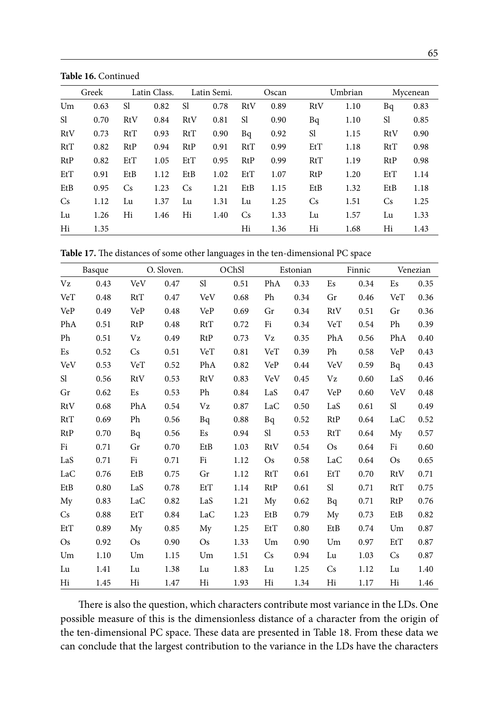**Table 16.** Continued

|                | Greek |                | Latin Class. |                | Latin Semi. |                | Oscan |           | Umbrian |               | Mycenean |
|----------------|-------|----------------|--------------|----------------|-------------|----------------|-------|-----------|---------|---------------|----------|
| Um             | 0.63  | S1             | 0.82         | Sl             | 0.78        | <b>RtV</b>     | 0.89  | RtV       | 1.10    | Bq            | 0.83     |
| <sup>S1</sup>  | 0.70  | RtV            | 0.84         | RtV            | 0.81        | <sub>S1</sub>  | 0.90  | Bq        | 1.10    | <sub>S1</sub> | 0.85     |
| RtV            | 0.73  | RtT            | 0.93         | RtT            | 0.90        | Bq             | 0.92  | Sl        | 1.15    | RtV           | 0.90     |
| RtT            | 0.82  | RtP            | 0.94         | RtP            | 0.91        | RtT            | 0.99  | EtT       | 1.18    | RtT           | 0.98     |
| RtP            | 0.82  | E <sub>t</sub> | 1.05         | E <sub>t</sub> | 0.95        | RtP            | 0.99  | RtT       | 1.19    | RtP           | 0.98     |
| E <sub>t</sub> | 0.91  | EtB            | 1.12         | EtB            | 1.02        | E <sub>t</sub> | 1.07  | RtP       | 1.20    | EtT           | 1.14     |
| EtB            | 0.95  | Cs             | 1.23         | <b>Cs</b>      | 1.21        | EtB            | 1.15  | EtB       | 1.32    | EtB           | 1.18     |
| <b>Cs</b>      | 1.12  | Lu             | 1.37         | Lu             | 1.31        | Lu             | 1.25  | <b>Cs</b> | 1.51    | <b>Cs</b>     | 1.25     |
| Lu             | 1.26  | Hi             | 1.46         | Hi             | 1.40        | <b>Cs</b>      | 1.33  | Lu        | 1.57    | Lu            | 1.33     |
| Hi             | 1.35  |                |              |                |             | Hi             | 1.36  | Hi        | 1.68    | Hi            | 1.43     |

|               | Basque |            | O. Sloven. |            | OChSl |            | Estonian |               | Finnic |            | Venezian |
|---------------|--------|------------|------------|------------|-------|------------|----------|---------------|--------|------------|----------|
| Vz            | 0.43   | VeV        | 0.47       | Sl         | 0.51  | PhA        | 0.33     | Es            | 0.34   | Es         | 0.35     |
| VeT           | 0.48   | RtT        | 0.47       | VeV        | 0.68  | Ph         | 0.34     | Gr            | 0.46   | VeT        | 0.36     |
| VeP           | 0.49   | <b>VeP</b> | 0.48       | VeP        | 0.69  | Gr         | 0.34     | <b>RtV</b>    | 0.51   | Gr         | 0.36     |
| PhA           | 0.51   | <b>RtP</b> | 0.48       | RtT        | 0.72  | Fi         | 0.34     | VeT           | 0.54   | Ph         | 0.39     |
| Ph            | 0.51   | Vz         | 0.49       | <b>RtP</b> | 0.73  | Vz         | 0.35     | PhA           | 0.56   | PhA        | 0.40     |
| Es            | 0.52   | Cs         | 0.51       | VeT        | 0.81  | VeT        | 0.39     | Ph            | 0.58   | VeP        | 0.43     |
| <b>VeV</b>    | 0.53   | VeT        | 0.52       | PhA        | 0.82  | VeP        | 0.44     | <b>VeV</b>    | 0.59   | Bq         | 0.43     |
| <sub>S1</sub> | 0.56   | <b>RtV</b> | 0.53       | <b>RtV</b> | 0.83  | VeV        | 0.45     | Vz            | 0.60   | LaS        | 0.46     |
| Gr            | 0.62   | Es         | 0.53       | Ph         | 0.84  | LaS        | 0.47     | <b>VeP</b>    | 0.60   | <b>VeV</b> | 0.48     |
| RtV           | 0.68   | PhA        | 0.54       | Vz         | 0.87  | LaC        | 0.50     | LaS           | 0.61   | Sl         | 0.49     |
| RtT           | 0.69   | Ph         | 0.56       | Bq         | 0.88  | Bq         | 0.52     | <b>RtP</b>    | 0.64   | LaC        | 0.52     |
| RtP           | 0.70   | Bq         | 0.56       | Es         | 0.94  | Sl         | 0.53     | RtT           | 0.64   | My         | 0.57     |
| Fi            | 0.71   | Gr         | 0.70       | EtB        | 1.03  | <b>RtV</b> | 0.54     | $\mathrm{Os}$ | 0.64   | Fi         | 0.60     |
| LaS           | 0.71   | Fi         | 0.71       | Fi         | 1.12  | <b>Os</b>  | 0.58     | LaC           | 0.64   | <b>Os</b>  | 0.65     |
| LaC           | 0.76   | EtB        | 0.75       | Gr         | 1.12  | RtT        | 0.61     | EtT           | 0.70   | RtV        | 0.71     |
| EtB           | 0.80   | LaS        | 0.78       | EtT        | 1.14  | RtP        | 0.61     | Sl            | 0.71   | RtT        | 0.75     |
| My            | 0.83   | LaC        | 0.82       | LaS        | 1.21  | My         | 0.62     | Bq            | 0.71   | RtP        | 0.76     |
| Cs            | 0.88   | EtT        | 0.84       | LaC        | 1.23  | EtB        | 0.79     | My            | 0.73   | EtB        | 0.82     |
| EtT           | 0.89   | My         | 0.85       | My         | 1.25  | EtT        | 0.80     | EtB           | 0.74   | Um         | 0.87     |
| $\mathrm{Os}$ | 0.92   | <b>Os</b>  | 0.90       | <b>Os</b>  | 1.33  | Um         | 0.90     | Um            | 0.97   | EtT        | 0.87     |
| Um            | 1.10   | Um         | 1.15       | Um         | 1.51  | Cs         | 0.94     | Lu            | 1.03   | Cs         | 0.87     |
| Lu            | 1.41   | Lu         | 1.38       | Lu         | 1.83  | Lu         | 1.25     | <b>Cs</b>     | 1.12   | Lu         | 1.40     |
| Hi            | 1.45   | Hi         | 1.47       | Hi         | 1.93  | Hi         | 1.34     | Hi            | 1.17   | Hi         | 1.46     |

There is also the question, which characters contribute most variance in the LDs. One possible measure of this is the dimensionless distance of a character from the origin of the ten-dimensional PC space. These data are presented in Table 18. From these data we can conclude that the largest contribution to the variance in the LDs have the characters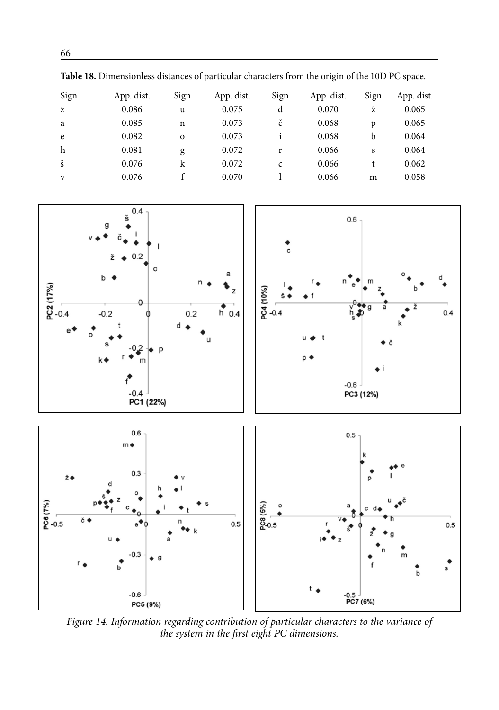| Sign | App. dist. | Sign         | App. dist. | Sign | App. dist. | Sign | App. dist. |
|------|------------|--------------|------------|------|------------|------|------------|
| z    | 0.086      | u            | 0.075      | d    | 0.070      | ž    | 0.065      |
| a    | 0.085      | n            | 0.073      | č    | 0.068      | p    | 0.065      |
| e    | 0.082      | $\mathbf{o}$ | 0.073      |      | 0.068      | b    | 0.064      |
| h    | 0.081      | g            | 0.072      | r    | 0.066      | S    | 0.064      |
| š    | 0.076      | k            | 0.072      | C    | 0.066      |      | 0.062      |
| V    | 0.076      |              | 0.070      |      | 0.066      | m    | 0.058      |

**Table 18.** Dimensionless distances of particular characters from the origin of the 10D PC space.



*Figure 14. Information regarding contribution of particular characters to the variance of the system in the first eight PC dimensions.*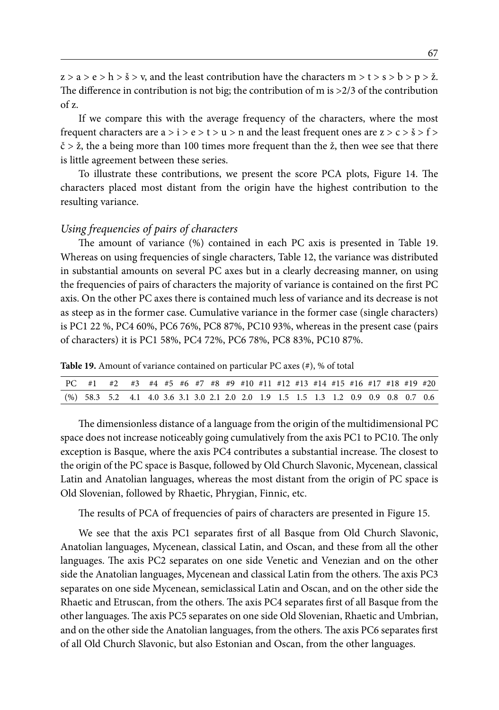$z > a > e > h > \check{s} > v$ , and the least contribution have the characters  $m > t > s > b > p > \check{z}$ . The difference in contribution is not big; the contribution of m is  $>2/3$  of the contribution of z.

If we compare this with the average frequency of the characters, where the most frequent characters are  $a > i > e > t > u > n$  and the least frequent ones are  $z > c > \check{s} > f >$  $\check{c}$  >  $\check{z}$ , the a being more than 100 times more frequent than the  $\check{z}$ , then wee see that there is little agreement between these series.

To illustrate these contributions, we present the score PCA plots, Figure 14. The characters placed most distant from the origin have the highest contribution to the resulting variance.

#### *Using frequencies of pairs of characters*

The amount of variance (%) contained in each PC axis is presented in Table 19. Whereas on using frequencies of single characters, Table 12, the variance was distributed in substantial amounts on several PC axes but in a clearly decreasing manner, on using the frequencies of pairs of characters the majority of variance is contained on the first PC axis. On the other PC axes there is contained much less of variance and its decrease is not as steep as in the former case. Cumulative variance in the former case (single characters) is PC1 22 %, PC4 60%, PC6 76%, PC8 87%, PC10 93%, whereas in the present case (pairs of characters) it is PC1 58%, PC4 72%, PC6 78%, PC8 83%, PC10 87%.

**Table 19.** Amount of variance contained on particular PC axes (#), % of total

| PC #1 #2 #3 #4 #5 #6 #7 #8 #9 #10 #11 #12 #13 #14 #15 #16 #17 #18 #19 #20            |  |  |  |  |  |  |  |  |  |  |
|--------------------------------------------------------------------------------------|--|--|--|--|--|--|--|--|--|--|
| (%) 58.3 5.2 4.1 4.0 3.6 3.1 3.0 2.1 2.0 2.0 1.9 1.5 1.5 1.3 1.2 0.9 0.9 0.8 0.7 0.6 |  |  |  |  |  |  |  |  |  |  |

The dimensionless distance of a language from the origin of the multidimensional PC space does not increase noticeably going cumulatively from the axis PC1 to PC10. The only exception is Basque, where the axis PC4 contributes a substantial increase. The closest to the origin of the PC space is Basque, followed by Old Church Slavonic, Mycenean, classical Latin and Anatolian languages, whereas the most distant from the origin of PC space is Old Slovenian, followed by Rhaetic, Phrygian, Finnic, etc.

The results of PCA of frequencies of pairs of characters are presented in Figure 15.

We see that the axis PC1 separates first of all Basque from Old Church Slavonic, Anatolian languages, Mycenean, classical Latin, and Oscan, and these from all the other languages. The axis PC2 separates on one side Venetic and Venezian and on the other side the Anatolian languages, Mycenean and classical Latin from the others. The axis PC3 separates on one side Mycenean, semiclassical Latin and Oscan, and on the other side the Rhaetic and Etruscan, from the others. The axis PC4 separates first of all Basque from the other languages. The axis PC5 separates on one side Old Slovenian, Rhaetic and Umbrian, and on the other side the Anatolian languages, from the others. The axis PC6 separates first of all Old Church Slavonic, but also Estonian and Oscan, from the other languages.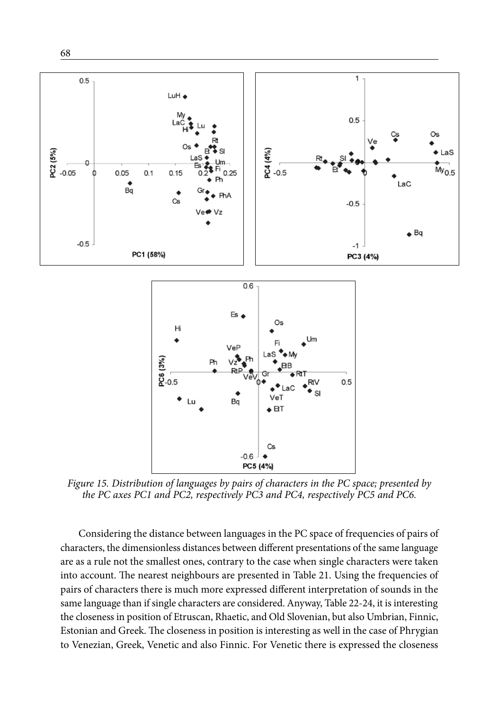

*Figure 15. Distribution of languages by pairs of characters in the PC space; presented by the PC axes PC1 and PC2, respectively PC3 and PC4, respectively PC5 and PC6.*

Considering the distance between languages in the PC space of frequencies of pairs of characters, the dimensionless distances between different presentations of the same language are as a rule not the smallest ones, contrary to the case when single characters were taken into account. The nearest neighbours are presented in Table 21. Using the frequencies of pairs of characters there is much more expressed different interpretation of sounds in the same language than if single characters are considered. Anyway, Table 22-24, it is interesting the closeness in position of Etruscan, Rhaetic, and Old Slovenian, but also Umbrian, Finnic, Estonian and Greek. The closeness in position is interesting as well in the case of Phrygian to Venezian, Greek, Venetic and also Finnic. For Venetic there is expressed the closeness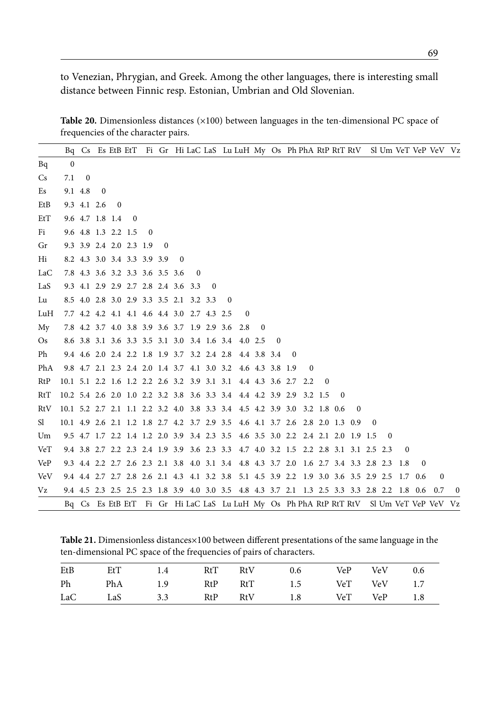to Venezian, Phrygian, and Greek. Among the other languages, there is interesting small distance between Finnic resp. Estonian, Umbrian and Old Slovenian.

Table 20. Dimensionless distances (×100) between languages in the ten-dimensional PC space of frequencies of the character pairs.

|            |                                                                          |              |                |                                 |          |          |          |              |                                                 |          |          |                                                                                             |          |          |          |              |              |          |          |          |          |          |          | Bq Cs Es EtB EtT Fi Gr Hi LaC LaS Lu LuH My Os Ph PhA RtP RtT RtV Sl Um VeT VeP VeV Vz |                |
|------------|--------------------------------------------------------------------------|--------------|----------------|---------------------------------|----------|----------|----------|--------------|-------------------------------------------------|----------|----------|---------------------------------------------------------------------------------------------|----------|----------|----------|--------------|--------------|----------|----------|----------|----------|----------|----------|----------------------------------------------------------------------------------------|----------------|
| Bq         | $\bf{0}$                                                                 |              |                |                                 |          |          |          |              |                                                 |          |          |                                                                                             |          |          |          |              |              |          |          |          |          |          |          |                                                                                        |                |
| <b>Cs</b>  | 7.1                                                                      | $\mathbf{0}$ |                |                                 |          |          |          |              |                                                 |          |          |                                                                                             |          |          |          |              |              |          |          |          |          |          |          |                                                                                        |                |
| Es         |                                                                          | 9.1 4.8      | $\overline{0}$ |                                 |          |          |          |              |                                                 |          |          |                                                                                             |          |          |          |              |              |          |          |          |          |          |          |                                                                                        |                |
| EtB        |                                                                          | 9.3 4.1 2.6  |                | $\mathbf{0}$                    |          |          |          |              |                                                 |          |          |                                                                                             |          |          |          |              |              |          |          |          |          |          |          |                                                                                        |                |
| EtT        |                                                                          |              |                | 9.6 4.7 1.8 1.4                 | $\sim 0$ |          |          |              |                                                 |          |          |                                                                                             |          |          |          |              |              |          |          |          |          |          |          |                                                                                        |                |
| Fi         |                                                                          |              |                | 9.6 4.8 1.3 2.2 1.5             |          | $\bf{0}$ |          |              |                                                 |          |          |                                                                                             |          |          |          |              |              |          |          |          |          |          |          |                                                                                        |                |
| Gr         |                                                                          |              |                | 9.3 3.9 2.4 2.0 2.3 1.9         |          |          | $\theta$ |              |                                                 |          |          |                                                                                             |          |          |          |              |              |          |          |          |          |          |          |                                                                                        |                |
| Hi         |                                                                          |              |                | 8.2 4.3 3.0 3.4 3.3 3.9 3.9     |          |          |          | $\mathbf{0}$ |                                                 |          |          |                                                                                             |          |          |          |              |              |          |          |          |          |          |          |                                                                                        |                |
| LaC        |                                                                          |              |                | 7.8 4.3 3.6 3.2 3.3 3.6 3.5 3.6 |          |          |          |              | $\overline{0}$                                  |          |          |                                                                                             |          |          |          |              |              |          |          |          |          |          |          |                                                                                        |                |
| LaS        |                                                                          |              |                |                                 |          |          |          |              | 9.3 4.1 2.9 2.9 2.7 2.8 2.4 3.6 3.3             | $\bf{0}$ |          |                                                                                             |          |          |          |              |              |          |          |          |          |          |          |                                                                                        |                |
| Lu         |                                                                          |              |                |                                 |          |          |          |              | 8.5 4.0 2.8 3.0 2.9 3.3 3.5 2.1 3.2 3.3         |          | $\bf{0}$ |                                                                                             |          |          |          |              |              |          |          |          |          |          |          |                                                                                        |                |
| LuH        |                                                                          |              |                |                                 |          |          |          |              | 7.7 4.2 4.2 4.1 4.1 4.6 4.4 3.0 2.7 4.3 2.5     |          |          | $\bf{0}$                                                                                    |          |          |          |              |              |          |          |          |          |          |          |                                                                                        |                |
| My         |                                                                          |              |                |                                 |          |          |          |              | 7.8 4.2 3.7 4.0 3.8 3.9 3.6 3.7 1.9 2.9 3.6 2.8 |          |          |                                                                                             | $\Omega$ |          |          |              |              |          |          |          |          |          |          |                                                                                        |                |
| <b>Os</b>  |                                                                          |              |                |                                 |          |          |          |              |                                                 |          |          | 8.6 3.8 3.1 3.6 3.3 3.5 3.1 3.0 3.4 1.6 3.4 4.0 2.5                                         |          | $\theta$ |          |              |              |          |          |          |          |          |          |                                                                                        |                |
| Ph         |                                                                          |              |                |                                 |          |          |          |              |                                                 |          |          | 9.4 4.6 2.0 2.4 2.2 1.8 1.9 3.7 3.2 2.4 2.8 4.4 3.8 3.4                                     |          |          | $\bf{0}$ |              |              |          |          |          |          |          |          |                                                                                        |                |
| PhA        |                                                                          |              |                |                                 |          |          |          |              |                                                 |          |          | 9.8 4.7 2.1 2.3 2.4 2.0 1.4 3.7 4.1 3.0 3.2 4.6 4.3 3.8 1.9                                 |          |          |          | $\mathbf{0}$ |              |          |          |          |          |          |          |                                                                                        |                |
| RtP        |                                                                          |              |                |                                 |          |          |          |              |                                                 |          |          | 10.1 5.1 2.2 1.6 1.2 2.2 2.6 3.2 3.9 3.1 3.1 4.4 4.3 3.6 2.7                                |          |          |          | 2.2          | $\mathbf{0}$ |          |          |          |          |          |          |                                                                                        |                |
| RtT        | 10.2 5.4 2.6 2.0 1.0 2.2 3.2 3.8 3.6 3.3 3.4 4.4 4.2 3.9 2.9 3.2 1.5     |              |                |                                 |          |          |          |              |                                                 |          |          |                                                                                             |          |          |          |              |              | $\Omega$ |          |          |          |          |          |                                                                                        |                |
| RtV        | 10.1 5.2 2.7 2.1 1.1 2.2 3.2 4.0 3.8 3.3 3.4 4.5 4.2 3.9 3.0 3.2 1.8 0.6 |              |                |                                 |          |          |          |              |                                                 |          |          |                                                                                             |          |          |          |              |              |          | $\Omega$ |          |          |          |          |                                                                                        |                |
| Sl         |                                                                          |              |                |                                 |          |          |          |              |                                                 |          |          | 10.1 4.9 2.6 2.1 1.2 1.8 2.7 4.2 3.7 2.9 3.5 4.6 4.1 3.7 2.6 2.8 2.0 1.3 0.9                |          |          |          |              |              |          |          | $\bf{0}$ |          |          |          |                                                                                        |                |
| Um         |                                                                          |              |                |                                 |          |          |          |              |                                                 |          |          | 9.5 4.7 1.7 2.2 1.4 1.2 2.0 3.9 3.4 2.3 3.5 4.6 3.5 3.0 2.2 2.4 2.1 2.0 1.9 1.5             |          |          |          |              |              |          |          |          | $\bf{0}$ |          |          |                                                                                        |                |
| VeT        |                                                                          |              |                |                                 |          |          |          |              |                                                 |          |          | 9.4 3.8 2.7 2.2 2.3 2.4 1.9 3.9 3.6 2.3 3.3 4.7 4.0 3.2 1.5 2.2 2.8 3.1 3.1 2.5 2.3         |          |          |          |              |              |          |          |          |          | $\bf{0}$ |          |                                                                                        |                |
| VeP        |                                                                          |              |                |                                 |          |          |          |              |                                                 |          |          | 9.3 4.4 2.2 2.7 2.6 2.3 2.1 3.8 4.0 3.1 3.4 4.8 4.3 3.7 2.0 1.6 2.7 3.4 3.3 2.8 2.3 1.8     |          |          |          |              |              |          |          |          |          |          | $\Omega$ |                                                                                        |                |
| <b>VeV</b> |                                                                          |              |                |                                 |          |          |          |              |                                                 |          |          | 9.4 4.4 2.7 2.7 2.8 2.6 2.1 4.3 4.1 3.2 3.8 5.1 4.5 3.9 2.2 1.9 3.0 3.6 3.5 2.9 2.5 1.7 0.6 |          |          |          |              |              |          |          |          |          |          |          | $\mathbf{0}$                                                                           |                |
| Vz         |                                                                          |              |                |                                 |          |          |          |              |                                                 |          |          | 9.4 4.5 2.3 2.5 2.5 2.3 1.8 3.9 4.0 3.0 3.5 4.8 4.3 3.7 2.1 1.3 2.5 3.3 3.3 2.8 2.2 1.8 0.6 |          |          |          |              |              |          |          |          |          |          |          | 0.7                                                                                    | $\overline{0}$ |
|            |                                                                          |              |                |                                 |          |          |          |              |                                                 |          |          |                                                                                             |          |          |          |              |              |          |          |          |          |          |          | Bq Cs Es EtB EtT Fi Gr Hi LaC LaS Lu LuH My Os Ph PhA RtP RtT RtV Sl Um VeT VeP VeV Vz |                |

**Table 21.** Dimensionless distances×100 between different presentations of the same language in the ten-dimensional PC space of the frequencies of pairs of characters.

| EtB | EtT | 1.4 RtT RtV |  | 0.6                                 | VeP VeV 0.6 |  |
|-----|-----|-------------|--|-------------------------------------|-------------|--|
| Ph  |     |             |  | PhA 1.9 RtP RtT 1.5 VeT VeV 1.7     |             |  |
|     |     |             |  | LaC LaS 3.3 RtP RtV 1.8 VeT VeP 1.8 |             |  |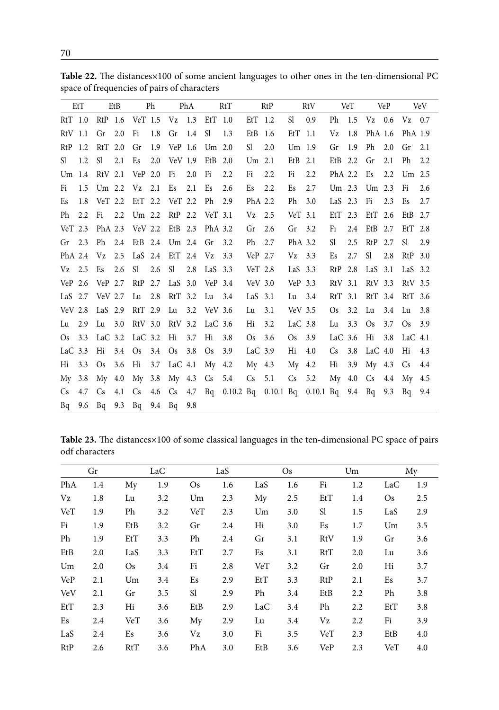|           | EtT |                 | EtB           |                        | Ph  |                                         | PhA |          | RtT                                                                     |                   | RtP |                   | RtV |           | VeT |                 | VeP |                      | <b>VeV</b> |
|-----------|-----|-----------------|---------------|------------------------|-----|-----------------------------------------|-----|----------|-------------------------------------------------------------------------|-------------------|-----|-------------------|-----|-----------|-----|-----------------|-----|----------------------|------------|
| $RtT$ 1.0 |     |                 |               |                        |     | RtP 1.6 VeT 1.5 Vz 1.3 EtT 1.0          |     |          |                                                                         | EtT 1.2           |     | $SI$ 0.9          |     |           |     |                 |     | Ph 1.5 Vz 0.6 Vz 0.7 |            |
| $RtV$ 1.1 |     | $Gr$ 2.0        |               | Fi                     | 1.8 | Gr 1.4                                  |     | - Sl     | 1.3                                                                     | $EtB$ 1.6         |     | $EtT$ 1.1         |     | Vz        | 1.8 | PhA 1.6         |     | PhA 1.9              |            |
|           |     | RtP 1.2 RtT 2.0 |               | Gr                     |     | 1.9 VeP 1.6 Um 2.0                      |     |          |                                                                         | Sl                | 2.0 | Um <sub>1.9</sub> |     | Gr 1.9    |     |                 |     | Ph 2.0 Gr 2.1        |            |
| Sl.       | 1.2 | Sl.             | 2.1           | Es                     |     | 2.0 VeV 1.9 EtB 2.0                     |     |          |                                                                         | Um <sub>2.1</sub> |     | $EtB$ 2.1         |     | EtB $2.2$ |     | Gr              | 2.1 | Ph                   | 2.2        |
| Um 1.4    |     | RtV 2.1         |               | $VeP$ 2.0              |     | Fi                                      | 2.0 | Fi       | 2.2                                                                     | Fi                | 2.2 | Fi                | 2.2 | PhA 2.2   |     |                 |     | Es 2.2 Um 2.5        |            |
| Fi        | 1.5 | Um 2.2          |               | $Vz$ 2.1               |     | Es                                      | 2.1 | Es       | 2.6                                                                     | Es                | 2.2 | Es                | 2.7 |           |     | Um 2.3 Um 2.3   |     | Fi                   | 2.6        |
| Es        |     |                 |               |                        |     | 1.8 VeT 2.2 EtT 2.2 VeT 2.2             |     | Ph 2.9   |                                                                         | PhA 2.2           |     | Ph                | 3.0 | LaS $2.3$ |     | Fi 2.3          |     | Es                   | 2.7        |
| Ph        | 2.2 | Fi              | $2.2^{\circ}$ |                        |     | Um 2.2 RtP 2.2 VeT 3.1                  |     |          |                                                                         | $Vz$ 2.5          |     | $VeT$ 3.1         |     |           |     | EtT 2.3 EtT 2.6 |     | EtB $2.7$            |            |
|           |     |                 |               |                        |     | VeT 2.3 PhA 2.3 VeV 2.2 EtB 2.3 PhA 3.2 |     |          |                                                                         | Gr                | 2.6 | $Gr$ 3.2          |     | Fi        | 2.4 | EtB 2.7         |     | $EtT$ 2.8            |            |
| $Gr$ 2.3  |     | Ph 2.4          |               |                        |     | EtB 2.4 Um 2.4 Gr                       |     |          | 3.2                                                                     | Ph                | 2.7 | PhA 3.2           |     | Sl.       | 2.5 | RtP 2.7         |     | Sl                   | 2.9        |
|           |     | PhA $2.4$ Vz    |               |                        |     | 2.5 LaS 2.4 EtT 2.4 Vz 3.3              |     |          |                                                                         | VeP 2.7           |     | $Vz$ 3.3          |     | Es        | 2.7 | Sl -            | 2.8 | $RtP$ 3.0            |            |
| $Vz$ 2.5  |     | Es              | 2.6           |                        |     | SI 2.6 SI 2.8 LaS 3.3                   |     |          |                                                                         | Ver 2.8           |     | LaS $3.3$         |     |           |     | RtP 2.8 LaS 3.1 |     | LaS $3.2$            |            |
| $VeP$ 2.6 |     | VeP 2.7         |               |                        |     | RtP 2.7 LaS 3.0 VeP 3.4                 |     |          |                                                                         | $VeV$ 3.0         |     | VeP 3.3           |     |           |     | RtV 3.1 RtV 3.3 |     | RtV 3.5              |            |
|           |     | LaS 2.7 VeV 2.7 |               |                        |     | Lu 2.8 RtT 3.2                          |     | Lu 3.4   |                                                                         | LaS $3.1$         |     | Lu                | 3.4 | $RtT$ 3.1 |     |                 |     | RtT 3.4 RtT 3.6      |            |
|           |     | VeV 2.8 LaS 2.9 |               |                        |     | RtT 2.9 Lu 3.2 VeV 3.6                  |     |          |                                                                         | Lu                | 3.1 | $VeV$ 3.5         |     | Os        | 3.2 |                 |     | Lu 3.4 Lu 3.8        |            |
| Lu 2.9    |     | Lu 3.0          |               |                        |     | RtV 3.0 RtV 3.2 LaC 3.6                 |     |          |                                                                         | Hi                | 3.2 | LaC $3.8$         |     | Lu        | 3.3 | Os              |     | 3.7 Os 3.9           |            |
| Os        |     |                 |               | 3.3 LaC 3.2 LaC 3.2 Hi |     |                                         | 3.7 | Hi       | 3.8                                                                     | <b>Os</b>         | 3.6 | Os                | 3.9 | LaC $3.6$ |     | Hi              | 3.8 | LaC 4.1              |            |
| LaC $3.3$ |     | Hi              |               |                        |     | 3.4 Os 3.4 Os 3.8                       |     | $\rm Os$ | 3.9                                                                     | LaC $3.9$         |     | Hi                | 4.0 | $Cs$ 3.8  |     | LaC $4.0$       |     | Hi                   | 4.3        |
| Hi        | 3.3 | Os              | 3.6           |                        |     | Hi 3.7 LaC 4.1                          |     | My 4.2   |                                                                         | $My$ 4.3          |     | $My$ 4.2          |     | Hi        |     |                 |     | 3.9 My 4.3 Cs 4.4    |            |
| My        |     |                 |               |                        |     | 3.8 My 4.0 My 3.8 My 4.3 Cs 5.4         |     |          |                                                                         | $Cs$ 5.1          |     | $Cs$ 5.2          |     |           |     |                 |     | My 4.0 Cs 4.4 My 4.5 |            |
| Cs.       | 4.7 |                 |               |                        |     |                                         |     |          | Cs 4.1 Cs 4.6 Cs 4.7 Bq 0.10.2 Bq 0.10.1 Bq 0.10.1 Bq 9.4 Bq 9.3 Bq 9.4 |                   |     |                   |     |           |     |                 |     |                      |            |
| Bq        | 9.6 |                 |               |                        |     | Bq 9.3 Bq 9.4 Bq                        | 9.8 |          |                                                                         |                   |     |                   |     |           |     |                 |     |                      |            |

Table 22. The distances×100 of some ancient languages to other ones in the ten-dimensional PC space of frequencies of pairs of characters

**Table 23.** The distances×100 of some classical languages in the ten-dimensional PC space of pairs odf characters

|            | Gr  |     | LaC |     | LaS |     | <b>Os</b> |     | Um  |           | My  |
|------------|-----|-----|-----|-----|-----|-----|-----------|-----|-----|-----------|-----|
| PhA        | 1.4 | My  | 1.9 | Os  | 1.6 | LaS | 1.6       | Fi  | 1.2 | LaC       | 1.9 |
| Vz         | 1.8 | Lu  | 3.2 | Um  | 2.3 | My  | 2.5       | EtT | 1.4 | <b>Os</b> | 2.5 |
| VeT        | 1.9 | Ph  | 3.2 | VeT | 2.3 | Um  | 3.0       | Sl  | 1.5 | LaS       | 2.9 |
| Fi         | 1.9 | EtB | 3.2 | Gr  | 2.4 | Hi  | 3.0       | Es  | 1.7 | Um        | 3.5 |
| Ph         | 1.9 | EtT | 3.3 | Ph  | 2.4 | Gr  | 3.1       | RtV | 1.9 | Gr        | 3.6 |
| EtB        | 2.0 | LaS | 3.3 | EtT | 2.7 | Es  | 3.1       | RtT | 2.0 | Lu        | 3.6 |
| Um         | 2.0 | Os  | 3.4 | Fi  | 2.8 | VeT | 3.2       | Gr  | 2.0 | Hi        | 3.7 |
| <b>VeP</b> | 2.1 | Um  | 3.4 | Es  | 2.9 | EtT | 3.3       | RtP | 2.1 | Es        | 3.7 |
| VeV        | 2.1 | Gr  | 3.5 | Sl  | 2.9 | Ph  | 3.4       | EtB | 2.2 | Ph        | 3.8 |
| EtT        | 2.3 | Hi  | 3.6 | EtB | 2.9 | LaC | 3.4       | Ph  | 2.2 | EtT       | 3.8 |
| Es         | 2.4 | VeT | 3.6 | My  | 2.9 | Lu  | 3.4       | Vz  | 2.2 | Fi        | 3.9 |
| LaS        | 2.4 | Es  | 3.6 | Vz  | 3.0 | Fi  | 3.5       | VeT | 2.3 | EtB       | 4.0 |
| RtP        | 2.6 | RtT | 3.6 | PhA | 3.0 | EtB | 3.6       | VeP | 2.3 | VeT       | 4.0 |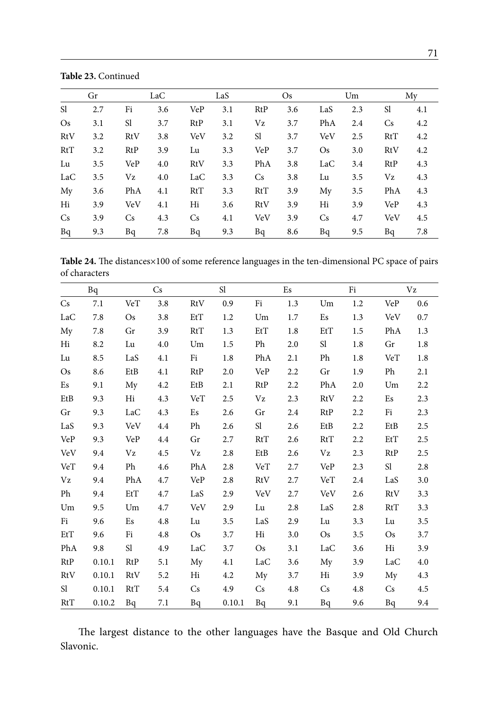|           | Gr  |            | LaC |            | LaS |           | Os  |            | Um  |            | My  |
|-----------|-----|------------|-----|------------|-----|-----------|-----|------------|-----|------------|-----|
| Sl        | 2.7 | Fi         | 3.6 | VeP        | 3.1 | RtP       | 3.6 | LaS        | 2.3 | Sl         | 4.1 |
| <b>Os</b> | 3.1 | Sl         | 3.7 | RtP        | 3.1 | Vz        | 3.7 | PhA        | 2.4 | <b>Cs</b>  | 4.2 |
| RtV       | 3.2 | RtV        | 3.8 | <b>VeV</b> | 3.2 | Sl        | 3.7 | <b>VeV</b> | 2.5 | RtT        | 4.2 |
| RtT       | 3.2 | RtP        | 3.9 | Lu         | 3.3 | VeP       | 3.7 | <b>Os</b>  | 3.0 | RtV        | 4.2 |
| Lu        | 3.5 | VeP        | 4.0 | RtV        | 3.3 | PhA       | 3.8 | LaC        | 3.4 | RtP        | 4.3 |
| LaC       | 3.5 | Vz         | 4.0 | LaC        | 3.3 | <b>Cs</b> | 3.8 | Lu         | 3.5 | Vz         | 4.3 |
| My        | 3.6 | PhA        | 4.1 | RtT        | 3.3 | RtT       | 3.9 | My         | 3.5 | PhA        | 4.3 |
| Hi        | 3.9 | <b>VeV</b> | 4.1 | Hi         | 3.6 | RtV       | 3.9 | Hi         | 3.9 | <b>VeP</b> | 4.3 |
| <b>Cs</b> | 3.9 | Cs         | 4.3 | <b>Cs</b>  | 4.1 | VeV       | 3.9 | <b>Cs</b>  | 4.7 | VeV        | 4.5 |
| Bq        | 9.3 | Bq         | 7.8 | Bq         | 9.3 | Bq        | 8.6 | Bq         | 9.5 | Bq         | 7.8 |

**Table 23.** Continued

**Table 24.** The distances×100 of some reference languages in the ten-dimensional PC space of pairs of characters

|               | Bq     |            | Cs  |            | Sl     |           | Es  |           | Fi  |           | Vz  |
|---------------|--------|------------|-----|------------|--------|-----------|-----|-----------|-----|-----------|-----|
| Cs            | 7.1    | VeT        | 3.8 | RtV        | 0.9    | Fi        | 1.3 | Um        | 1.2 | VeP       | 0.6 |
| LaC           | 7.8    | <b>Os</b>  | 3.8 | EtT        | 1.2    | Um        | 1.7 | Es        | 1.3 | VeV       | 0.7 |
| My            | 7.8    | Gr         | 3.9 | RtT        | 1.3    | EtT       | 1.8 | EtT       | 1.5 | PhA       | 1.3 |
| Hi            | 8.2    | Lu         | 4.0 | Um         | 1.5    | Ph        | 2.0 | Sl        | 1.8 | Gr        | 1.8 |
| Lu            | 8.5    | LaS        | 4.1 | Fi         | 1.8    | PhA       | 2.1 | Ph        | 1.8 | VeT       | 1.8 |
| <b>Os</b>     | 8.6    | EtB        | 4.1 | RtP        | 2.0    | VeP       | 2.2 | Gr        | 1.9 | Ph        | 2.1 |
| Es            | 9.1    | My         | 4.2 | EtB        | 2.1    | RtP       | 2.2 | PhA       | 2.0 | Um        | 2.2 |
| EtB           | 9.3    | Hi         | 4.3 | VeT        | 2.5    | Vz        | 2.3 | RtV       | 2.2 | Es        | 2.3 |
| Gr            | 9.3    | LaC        | 4.3 | Es         | 2.6    | Gr        | 2.4 | RtP       | 2.2 | Fi        | 2.3 |
| LaS           | 9.3    | <b>VeV</b> | 4.4 | Ph         | 2.6    | Sl        | 2.6 | EtB       | 2.2 | EtB       | 2.5 |
| VeP           | 9.3    | <b>VeP</b> | 4.4 | Gr         | 2.7    | RtT       | 2.6 | RtT       | 2.2 | EtT       | 2.5 |
| <b>VeV</b>    | 9.4    | Vz         | 4.5 | Vz         | 2.8    | EtB       | 2.6 | Vz        | 2.3 | RtP       | 2.5 |
| VeT           | 9.4    | Ph         | 4.6 | PhA        | 2.8    | VeT       | 2.7 | VeP       | 2.3 | Sl        | 2.8 |
| Vz            | 9.4    | PhA        | 4.7 | <b>VeP</b> | 2.8    | RtV       | 2.7 | VeT       | 2.4 | LaS       | 3.0 |
| Ph            | 9.4    | EtT        | 4.7 | LaS        | 2.9    | VeV       | 2.7 | VeV       | 2.6 | RtV       | 3.3 |
| Um            | 9.5    | Um         | 4.7 | VeV        | 2.9    | Lu        | 2.8 | LaS       | 2.8 | RtT       | 3.3 |
| Fi            | 9.6    | Es         | 4.8 | Lu         | 3.5    | LaS       | 2.9 | Lu        | 3.3 | Lu        | 3.5 |
| EtT           | 9.6    | Fi         | 4.8 | <b>Os</b>  | 3.7    | Hi        | 3.0 | <b>Os</b> | 3.5 | <b>Os</b> | 3.7 |
| PhA           | 9.8    | S1         | 4.9 | LaC        | 3.7    | <b>Os</b> | 3.1 | LaC       | 3.6 | Hi        | 3.9 |
| RtP           | 0.10.1 | RtP        | 5.1 | My         | 4.1    | LaC       | 3.6 | My        | 3.9 | LaC       | 4.0 |
| RtV           | 0.10.1 | RtV        | 5.2 | Hi         | 4.2    | My        | 3.7 | Hi        | 3.9 | My        | 4.3 |
| <sub>S1</sub> | 0.10.1 | RtT        | 5.4 | Cs         | 4.9    | Cs        | 4.8 | Cs        | 4.8 | Cs        | 4.5 |
| RtT           | 0.10.2 | Bq         | 7.1 | Bq         | 0.10.1 | Bq        | 9.1 | Bq        | 9.6 | Bq        | 9.4 |

The largest distance to the other languages have the Basque and Old Church Slavonic.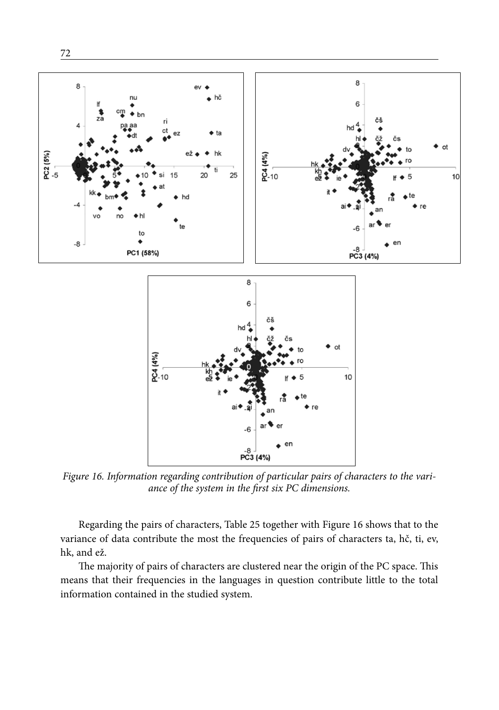

72

*Figure 16. Information regarding contribution of particular pairs of characters to the variance of the system in the first six PC dimensions.*

Regarding the pairs of characters, Table 25 together with Figure 16 shows that to the variance of data contribute the most the frequencies of pairs of characters ta, hč, ti, ev, hk, and ež.

The majority of pairs of characters are clustered near the origin of the PC space. This means that their frequencies in the languages in question contribute little to the total information contained in the studied system.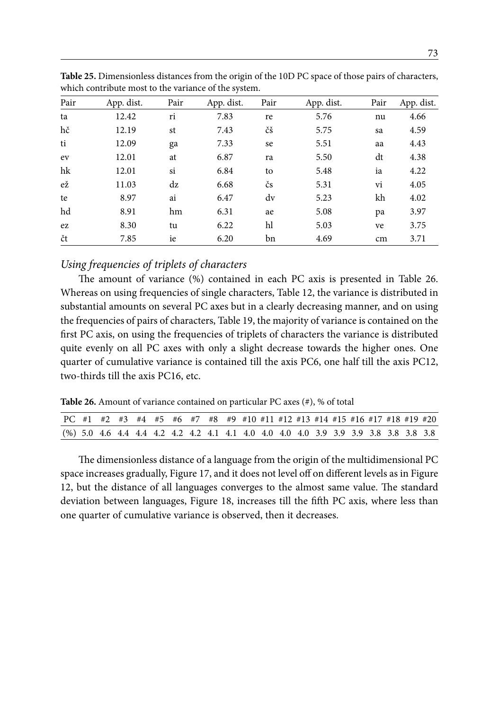| Pair | App. dist. | Pair | App. dist. | Pair | App. dist. | Pair | App. dist. |
|------|------------|------|------------|------|------------|------|------------|
| ta   | 12.42      | ri   | 7.83       | re   | 5.76       | nu   | 4.66       |
| hč   | 12.19      | st   | 7.43       | čš   | 5.75       | sa   | 4.59       |
| ti   | 12.09      | ga   | 7.33       | se   | 5.51       | aa   | 4.43       |
| ev   | 12.01      | at   | 6.87       | ra   | 5.50       | dt   | 4.38       |
| hk   | 12.01      | si   | 6.84       | to   | 5.48       | ia   | 4.22       |
| ež   | 11.03      | dz   | 6.68       | čs   | 5.31       | vi   | 4.05       |
| te   | 8.97       | ai   | 6.47       | dv   | 5.23       | kh   | 4.02       |
| hd   | 8.91       | hm   | 6.31       | ae   | 5.08       | pa   | 3.97       |
| ez   | 8.30       | tu   | 6.22       | hl   | 5.03       | ve   | 3.75       |
| čt   | 7.85       | ie   | 6.20       | bn   | 4.69       | cm   | 3.71       |

**Table 25.** Dimensionless distances from the origin of the 10D PC space of those pairs of characters, which contribute most to the variance of the system.

## *Using frequencies of triplets of characters*

The amount of variance (%) contained in each PC axis is presented in Table 26. Whereas on using frequencies of single characters, Table 12, the variance is distributed in substantial amounts on several PC axes but in a clearly decreasing manner, and on using the frequencies of pairs of characters, Table 19, the majority of variance is contained on the first PC axis, on using the frequencies of triplets of characters the variance is distributed quite evenly on all PC axes with only a slight decrease towards the higher ones. One quarter of cumulative variance is contained till the axis PC6, one half till the axis PC12, two-thirds till the axis PC16, etc.

**Table 26.** Amount of variance contained on particular PC axes (#), % of total

| PC #1 #2 #3 #4 #5 #6 #7 #8 #9 #10 #11 #12 #13 #14 #15 #16 #17 #18 #19 #20           |  |  |  |  |  |  |  |  |  |  |
|-------------------------------------------------------------------------------------|--|--|--|--|--|--|--|--|--|--|
| (%) 5.0 4.6 4.4 4.4 4.2 4.2 4.2 4.1 4.1 4.0 4.0 4.0 4.0 3.9 3.9 3.9 3.8 3.8 3.8 3.8 |  |  |  |  |  |  |  |  |  |  |

The dimensionless distance of a language from the origin of the multidimensional PC space increases gradually, Figure 17, and it does not level off on different levels as in Figure 12, but the distance of all languages converges to the almost same value. The standard deviation between languages, Figure 18, increases till the fifth PC axis, where less than one quarter of cumulative variance is observed, then it decreases.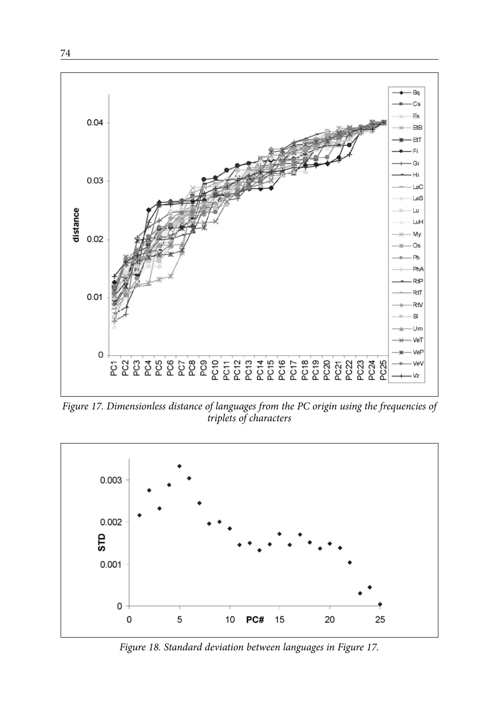

*Figure 17. Dimensionless distance of languages from the PC origin using the frequencies of triplets of characters*



*Figure 18. Standard deviation between languages in Figure 17.*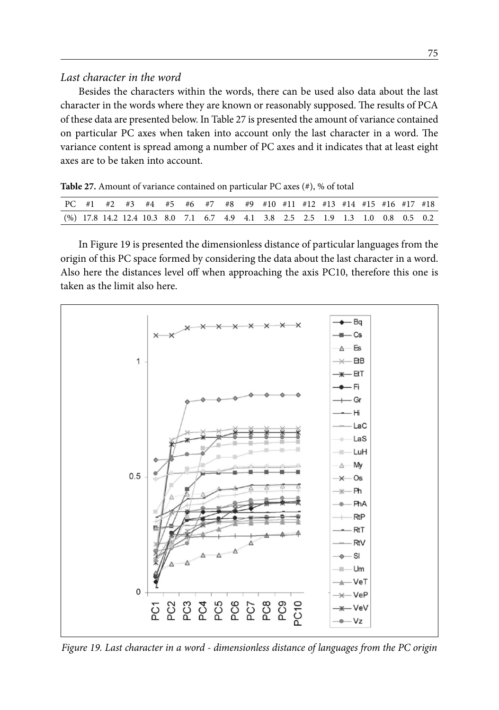#### *Last character in the word*

Besides the characters within the words, there can be used also data about the last character in the words where they are known or reasonably supposed. The results of PCA of these data are presented below. In Table 27 is presented the amount of variance contained on particular PC axes when taken into account only the last character in a word. The variance content is spread among a number of PC axes and it indicates that at least eight axes are to be taken into account.

**Table 27.** Amount of variance contained on particular PC axes (#), % of total

|  |  | PC #1 #2 #3 #4 #5 #6 #7 #8 #9 #10 #11 #12 #13 #14 #15 #16 #17 #18               |  |  |  |  |  |  |  |
|--|--|---------------------------------------------------------------------------------|--|--|--|--|--|--|--|
|  |  | (%) 17.8 14.2 12.4 10.3 8.0 7.1 6.7 4.9 4.1 3.8 2.5 2.5 1.9 1.3 1.0 0.8 0.5 0.2 |  |  |  |  |  |  |  |

In Figure 19 is presented the dimensionless distance of particular languages from the origin of this PC space formed by considering the data about the last character in a word. Also here the distances level off when approaching the axis PC10, therefore this one is taken as the limit also here.



*Figure 19. Last character in a word - dimensionless distance of languages from the PC origin*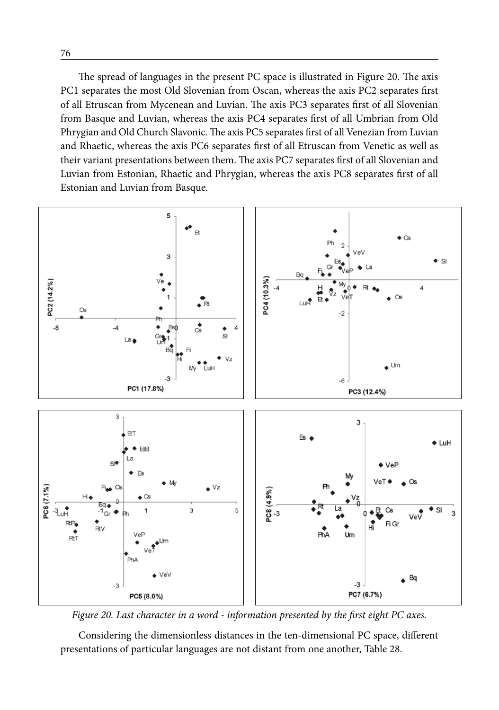The spread of languages in the present PC space is illustrated in Figure 20. The axis PC1 separates the most Old Slovenian from Oscan, whereas the axis PC2 separates first of all Etruscan from Mycenean and Luvian. The axis PC3 separates first of all Slovenian from Basque and Luvian, whereas the axis PC4 separates first of all Umbrian from Old Phrygian and Old Church Slavonic. The axis PC5 separates first of all Venezian from Luvian and Rhaetic, whereas the axis PC6 separates first of all Etruscan from Venetic as well as their variant presentations between them. The axis PC7 separates first of all Slovenian and Luvian from Estonian, Rhaetic and Phrygian, whereas the axis PC8 separates first of all Estonian and Luvian from Basque.



*Figure 20. Last character in a word - information presented by the first eight PC axes.*

Considering the dimensionless distances in the ten-dimensional PC space, different presentations of particular languages are not distant from one another, Table 28.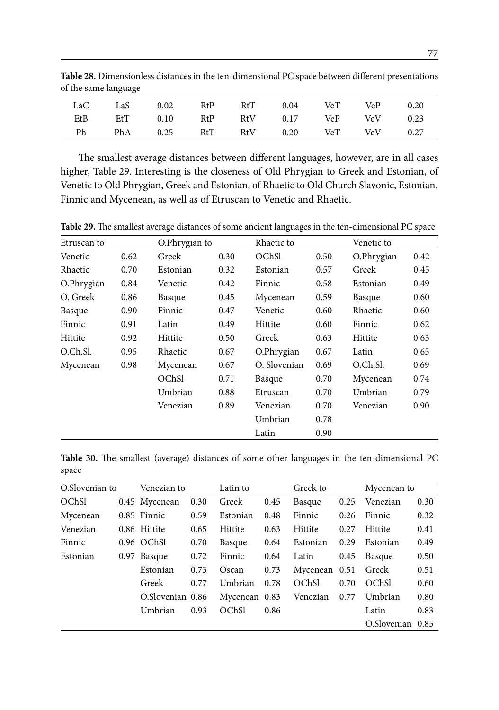| LaC | LaS | 0.02     | RtP | RtT | 0.04 | VeT VeP |                       | 0.20 |
|-----|-----|----------|-----|-----|------|---------|-----------------------|------|
| EtB | EtT | 0.10 RtP |     |     |      |         | RtV 0.17 VeP VeV      | 0.23 |
| Ph  | PhA | 0.25 RtT |     |     |      |         | RtV 0.20 VeT VeV 0.27 |      |

**Table 28.** Dimensionless distances in the ten-dimensional PC space between different presentations of the same language

The smallest average distances between different languages, however, are in all cases higher, Table 29. Interesting is the closeness of Old Phrygian to Greek and Estonian, of Venetic to Old Phrygian, Greek and Estonian, of Rhaetic to Old Church Slavonic, Estonian, Finnic and Mycenean, as well as of Etruscan to Venetic and Rhaetic.

Etruscan to O.Phrygian to Rhaetic to Venetic to Venetic 0.62 Greek 0.30 OChSl 0.50 O.Phrygian 0.42 Rhaetic 0.70 Estonian 0.32 Estonian 0.57 Greek 0.45 O.Phrygian 0.84 Venetic 0.42 Finnic 0.58 Estonian 0.49 O. Greek 0.86 Basque 0.45 Mycenean 0.59 Basque 0.60 Basque 0.90 Finnic 0.47 Venetic 0.60 Rhaetic 0.60 Finnic 0.91 Latin 0.49 Hittite 0.60 Finnic 0.62 Hittite 0.92 Hittite 0.50 Greek 0.63 Hittite 0.63 O.Ch.Sl. 0.95 Rhaetic 0.67 O.Phrygian 0.67 Latin 0.65 Mycenean 0.98 Mycenean 0.67 O. Slovenian 0.69 O.Ch.Sl. 0.69 OChSl 0.71 Basque 0.70 Mycenean 0.74 Umbrian 0.88 Etruscan 0.70 Umbrian 0.79 Venezian 0.89 Venezian 0.70 Venezian 0.90 Umbrian 0.78 Latin 0.90

**Table 29.** The smallest average distances of some ancient languages in the ten-dimensional PC space

**Table 30.** The smallest (average) distances of some other languages in the ten-dimensional PC space

| O.Slovenian to | Venezian to      |      | Latin to      |      | Greek to      |      | Mycenean to      |      |
|----------------|------------------|------|---------------|------|---------------|------|------------------|------|
| OChSl          | 0.45 Mycenean    | 0.30 | Greek         | 0.45 | Basque        | 0.25 | Venezian         | 0.30 |
| Mycenean       | 0.85 Finnic      | 0.59 | Estonian      | 0.48 | Finnic        | 0.26 | Finnic           | 0.32 |
| Venezian       | 0.86 Hittite     | 0.65 | Hittite       | 0.63 | Hittite       | 0.27 | Hittite          | 0.41 |
| Finnic         | 0.96 OChSl       | 0.70 | Basque        | 0.64 | Estonian      | 0.29 | Estonian         | 0.49 |
| Estonian       | 0.97 Basque      | 0.72 | Finnic        | 0.64 | Latin         | 0.45 | Basque           | 0.50 |
|                | Estonian         | 0.73 | Oscan         | 0.73 | Mycenean 0.51 |      | Greek            | 0.51 |
|                | Greek            | 0.77 | Umbrian       | 0.78 | OChSI         | 0.70 | OChSI            | 0.60 |
|                | O.Slovenian 0.86 |      | Mycenean 0.83 |      | Venezian      | 0.77 | Umbrian          | 0.80 |
|                | Umbrian          | 0.93 | OChSI         | 0.86 |               |      | Latin            | 0.83 |
|                |                  |      |               |      |               |      | O.Slovenian 0.85 |      |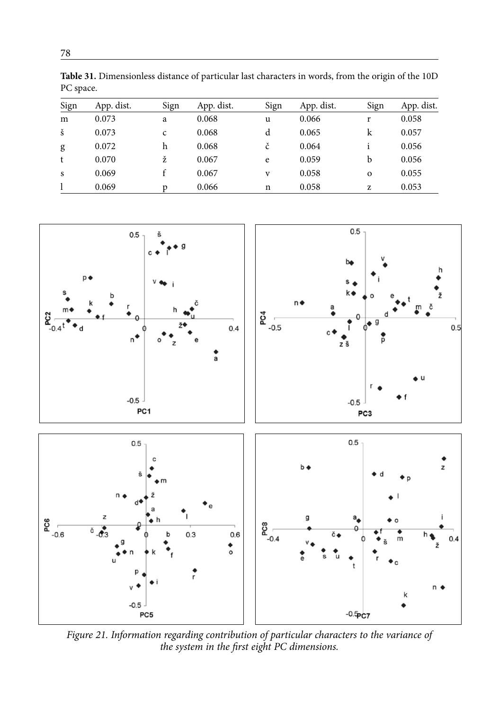| Sign | App. dist. | Sign | App. dist. | Sign | App. dist. | Sign     | App. dist. |
|------|------------|------|------------|------|------------|----------|------------|
| m    | 0.073      | a    | 0.068      | u    | 0.066      | r        | 0.058      |
| š    | 0.073      | C    | 0.068      | d    | 0.065      | k        | 0.057      |
| g    | 0.072      | h    | 0.068      | č    | 0.064      |          | 0.056      |
| t    | 0.070      | ž    | 0.067      | e    | 0.059      | b        | 0.056      |
| S    | 0.069      |      | 0.067      | V    | 0.058      | $\Omega$ | 0.055      |
|      | 0.069      | D    | 0.066      | n    | 0.058      | z        | 0.053      |

**Table 31.** Dimensionless distance of particular last characters in words, from the origin of the 10D

 $0.5$  $0.5$ č  $\mathbf{c}$ bo  $\overline{D}$ S  $n \bullet$  $\begin{array}{c}\n\stackrel{\bullet}{\mathbf{C}} \\
\stackrel{\bullet}{\mathbf{C}}\n\end{array}$  $\frac{a}{2}$   $\frac{1}{2}$  $\bullet$  $0.4$  $0.5$  $\mathbf{d}$  $n^*$ Ď zš a  $-0.5$  $-0.5$ PC1 PC3  $0.5$  $0.5$ c  $h_{\mathbf{A}}$ z  $\begin{array}{c}\n\mathbf{PC6} \\
\hline\n\mathbf{C6}\n\end{array}$ z  $\sum_{-0.4}^{\infty}$ d  $\overline{a}$  $\overline{6}$   $\overline{63}$  $0.3$  $0.6$ č. b  $04$ m  $\bullet$ ٠, n k  $-0.5$ PC5  $-0.5$ <sub>PC7</sub>

*Figure 21. Information regarding contribution of particular characters to the variance of the system in the first eight PC dimensions.*

PC space.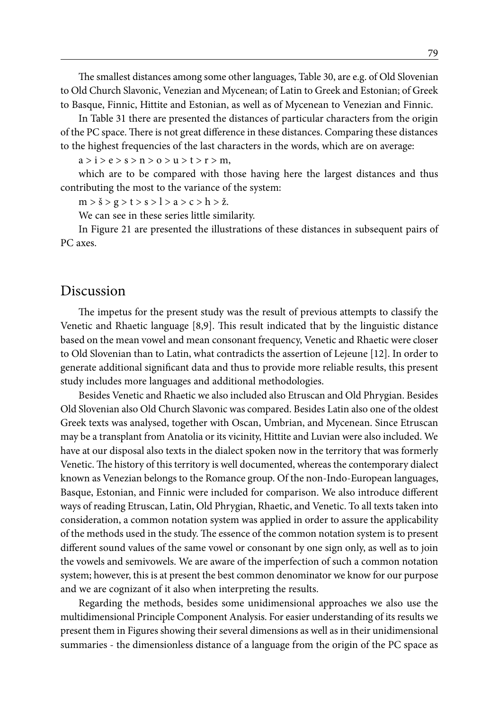The smallest distances among some other languages, Table 30, are e.g. of Old Slovenian to Old Church Slavonic, Venezian and Mycenean; of Latin to Greek and Estonian; of Greek to Basque, Finnic, Hittite and Estonian, as well as of Mycenean to Venezian and Finnic.

In Table 31 there are presented the distances of particular characters from the origin of the PC space. There is not great difference in these distances. Comparing these distances to the highest frequencies of the last characters in the words, which are on average:

 $a > i > e > s > n > o > u > t > r > m$ ,

which are to be compared with those having here the largest distances and thus contributing the most to the variance of the system:

 $m > \check{s} > g > t > s > l > a > c > h > \check{z}$ .

We can see in these series little similarity.

In Figure 21 are presented the illustrations of these distances in subsequent pairs of PC axes.

## Discussion

The impetus for the present study was the result of previous attempts to classify the Venetic and Rhaetic language [8,9]. This result indicated that by the linguistic distance based on the mean vowel and mean consonant frequency, Venetic and Rhaetic were closer to Old Slovenian than to Latin, what contradicts the assertion of Lejeune [12]. In order to generate additional significant data and thus to provide more reliable results, this present study includes more languages and additional methodologies.

Besides Venetic and Rhaetic we also included also Etruscan and Old Phrygian. Besides Old Slovenian also Old Church Slavonic was compared. Besides Latin also one of the oldest Greek texts was analysed, together with Oscan, Umbrian, and Mycenean. Since Etruscan may be a transplant from Anatolia or its vicinity, Hittite and Luvian were also included. We have at our disposal also texts in the dialect spoken now in the territory that was formerly Venetic. The history of this territory is well documented, whereas the contemporary dialect known as Venezian belongs to the Romance group. Of the non-Indo-European languages, Basque, Estonian, and Finnic were included for comparison. We also introduce different ways of reading Etruscan, Latin, Old Phrygian, Rhaetic, and Venetic. To all texts taken into consideration, a common notation system was applied in order to assure the applicability of the methods used in the study. The essence of the common notation system is to present different sound values of the same vowel or consonant by one sign only, as well as to join the vowels and semivowels. We are aware of the imperfection of such a common notation system; however, this is at present the best common denominator we know for our purpose and we are cognizant of it also when interpreting the results.

Regarding the methods, besides some unidimensional approaches we also use the multidimensional Principle Component Analysis. For easier understanding of its results we present them in Figures showing their several dimensions as well as in their unidimensional summaries - the dimensionless distance of a language from the origin of the PC space as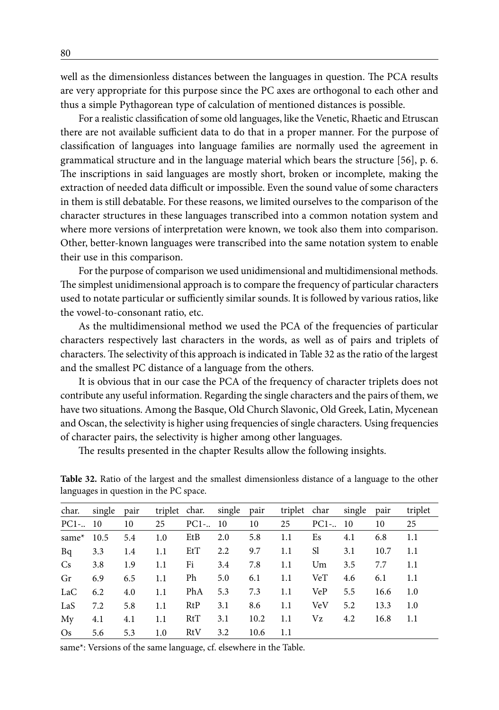well as the dimensionless distances between the languages in question. The PCA results are very appropriate for this purpose since the PC axes are orthogonal to each other and thus a simple Pythagorean type of calculation of mentioned distances is possible.

For a realistic classification of some old languages, like the Venetic, Rhaetic and Etruscan there are not available sufficient data to do that in a proper manner. For the purpose of classification of languages into language families are normally used the agreement in grammatical structure and in the language material which bears the structure [56], p. 6. The inscriptions in said languages are mostly short, broken or incomplete, making the extraction of needed data difficult or impossible. Even the sound value of some characters in them is still debatable. For these reasons, we limited ourselves to the comparison of the character structures in these languages transcribed into a common notation system and where more versions of interpretation were known, we took also them into comparison. Other, better-known languages were transcribed into the same notation system to enable their use in this comparison.

For the purpose of comparison we used unidimensional and multidimensional methods. The simplest unidimensional approach is to compare the frequency of particular characters used to notate particular or sufficiently similar sounds. It is followed by various ratios, like the vowel-to-consonant ratio, etc.

As the multidimensional method we used the PCA of the frequencies of particular characters respectively last characters in the words, as well as of pairs and triplets of characters. The selectivity of this approach is indicated in Table 32 as the ratio of the largest and the smallest PC distance of a language from the others.

It is obvious that in our case the PCA of the frequency of character triplets does not contribute any useful information. Regarding the single characters and the pairs of them, we have two situations. Among the Basque, Old Church Slavonic, Old Greek, Latin, Mycenean and Oscan, the selectivity is higher using frequencies of single characters. Using frequencies of character pairs, the selectivity is higher among other languages.

The results presented in the chapter Results allow the following insights.

| char.         | single pair |     |     | triplet char. single pair |     |      |     | triplet char single pair |     |      | triplet |
|---------------|-------------|-----|-----|---------------------------|-----|------|-----|--------------------------|-----|------|---------|
| $PC1-.10$     |             | 10  | 25  | $PC1-.10$                 |     | 10   | 25  | $PC1-.10$                |     | 10   | 25      |
| same $*$ 10.5 |             | 5.4 | 1.0 | EtB                       | 2.0 | 5.8  | 1.1 | Es                       | 4.1 | 6.8  | 1.1     |
| Bq            | 3.3         | 1.4 | 1.1 | EtT                       | 2.2 | 9.7  | 1.1 | S1                       | 3.1 | 10.7 | 1.1     |
| Cs            | 3.8         | 1.9 | 1.1 | Fi                        | 3.4 | 7.8  | 1.1 | Um                       | 3.5 | 7.7  | 1.1     |
| Gr            | 6.9         | 6.5 | 1.1 | Ph                        | 5.0 | 6.1  | 1.1 | VeT                      | 4.6 | 6.1  | 1.1     |
| LaC           | 6.2         | 4.0 | 1.1 | PhA                       | 5.3 | 7.3  | 1.1 | VeP                      | 5.5 | 16.6 | 1.0     |
| LaS           | 7.2         | 5.8 | 1.1 | RtP                       | 3.1 | 8.6  | 1.1 | VeV                      | 5.2 | 13.3 | 1.0     |
| My            | 4.1         | 4.1 | 1.1 | RtT                       | 3.1 | 10.2 | 1.1 | Vz                       | 4.2 | 16.8 | 1.1     |
| $\rm Os$      | 5.6         | 5.3 | 1.0 | RtV                       | 3.2 | 10.6 | 1.1 |                          |     |      |         |

**Table 32.** Ratio of the largest and the smallest dimensionless distance of a language to the other languages in question in the PC space.

same\*: Versions of the same language, cf. elsewhere in the Table.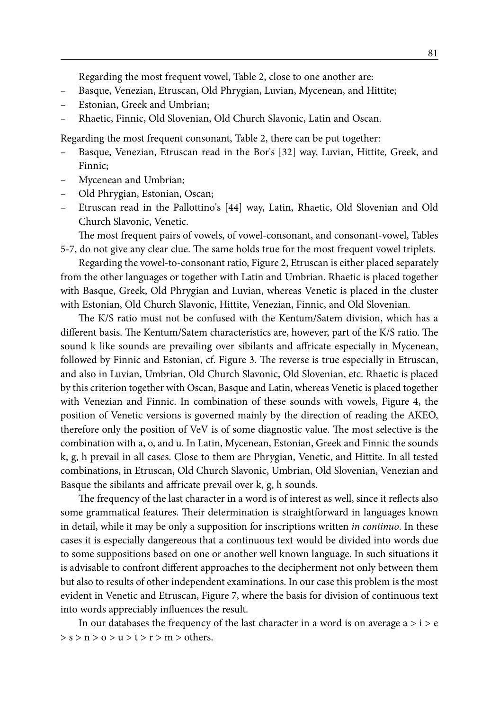Regarding the most frequent vowel, Table 2, close to one another are:

- Basque, Venezian, Etruscan, Old Phrygian, Luvian, Mycenean, and Hittite;
- Estonian, Greek and Umbrian;
- Rhaetic, Finnic, Old Slovenian, Old Church Slavonic, Latin and Oscan.

Regarding the most frequent consonant, Table 2, there can be put together:

- Basque, Venezian, Etruscan read in the Bor's [32] way, Luvian, Hittite, Greek, and Finnic;
- Mycenean and Umbrian;
- Old Phrygian, Estonian, Oscan;
- Etruscan read in the Pallottino's [44] way, Latin, Rhaetic, Old Slovenian and Old Church Slavonic, Venetic.

The most frequent pairs of vowels, of vowel-consonant, and consonant-vowel, Tables 5-7, do not give any clear clue. The same holds true for the most frequent vowel triplets.

Regarding the vowel-to-consonant ratio, Figure 2, Etruscan is either placed separately from the other languages or together with Latin and Umbrian. Rhaetic is placed together with Basque, Greek, Old Phrygian and Luvian, whereas Venetic is placed in the cluster with Estonian, Old Church Slavonic, Hittite, Venezian, Finnic, and Old Slovenian.

The K/S ratio must not be confused with the Kentum/Satem division, which has a different basis. The Kentum/Satem characteristics are, however, part of the K/S ratio. The sound k like sounds are prevailing over sibilants and affricate especially in Mycenean, followed by Finnic and Estonian, cf. Figure 3. The reverse is true especially in Etruscan, and also in Luvian, Umbrian, Old Church Slavonic, Old Slovenian, etc. Rhaetic is placed by this criterion together with Oscan, Basque and Latin, whereas Venetic is placed together with Venezian and Finnic. In combination of these sounds with vowels, Figure 4, the position of Venetic versions is governed mainly by the direction of reading the AKEO, therefore only the position of VeV is of some diagnostic value. The most selective is the combination with a, o, and u. In Latin, Mycenean, Estonian, Greek and Finnic the sounds k, g, h prevail in all cases. Close to them are Phrygian, Venetic, and Hittite. In all tested combinations, in Etruscan, Old Church Slavonic, Umbrian, Old Slovenian, Venezian and Basque the sibilants and affricate prevail over k, g, h sounds.

The frequency of the last character in a word is of interest as well, since it reflects also some grammatical features. Their determination is straightforward in languages known in detail, while it may be only a supposition for inscriptions written *in continuo*. In these cases it is especially dangereous that a continuous text would be divided into words due to some suppositions based on one or another well known language. In such situations it is advisable to confront different approaches to the decipherment not only between them but also to results of other independent examinations. In our case this problem is the most evident in Venetic and Etruscan, Figure 7, where the basis for division of continuous text into words appreciably influences the result.

In our databases the frequency of the last character in a word is on average  $a > i > e$  $> s > n > o > u > t > r > m >$  others.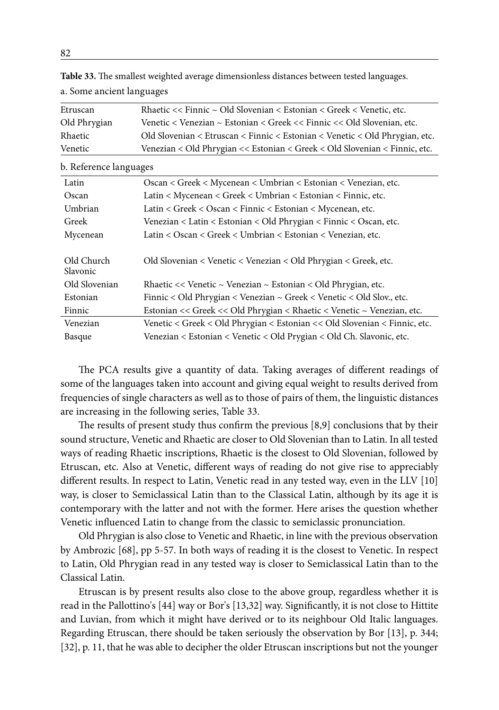| Etruscan     | Rhaetic << Finnic $\sim$ Old Slovenian < Estonian < Greek < Venetic, etc.   |
|--------------|-----------------------------------------------------------------------------|
| Old Phrygian | Venetic < Venezian ~ Estonian < Greek << Finnic << Old Slovenian, etc.      |
| Rhaetic      | Old Slovenian < Etruscan < Finnic < Estonian < Venetic < Old Phrygian, etc. |
| Venetic      | Venezian < Old Phrygian << Estonian < Greek < Old Slovenian < Finnic, etc.  |

**Table 33.** The smallest weighted average dimensionless distances between tested languages. a. Some ancient languages

b. Reference languages

| Latin         | Oscan < Greek < Mycenean < Umbrian < Estonian < Venezian, etc.              |
|---------------|-----------------------------------------------------------------------------|
| Oscan         | Latin < Mycenean < Greek < Umbrian < Estonian < Finnic, etc.                |
| Umbrian       | Latin < Greek < Oscan < Finnic < Estonian < Mycenean, etc.                  |
| Greek         | Venezian < Latin < Estonian < Old Phrygian < Finnic < Oscan, etc.           |
| Mycenean      | Latin < Oscan < Greek < Umbrian < Estonian < Venezian, etc.                 |
|               |                                                                             |
| Old Church    | Old Slovenian < Venetic < Venezian < Old Phrygian < Greek, etc.             |
| Slavonic      |                                                                             |
| Old Slovenian | Rhaetic $<<$ Venetic $\sim$ Venezian $\sim$ Estonian $<$ Old Phrygian, etc. |
| Estonian      | Finnic < Old Phrygian < Venezian $\sim$ Greek < Venetic < Old Slov., etc.   |
| Finnic        | Estonian << Greek << Old Phrygian < Rhaetic < Venetic ~ Venezian, etc.      |
| Venezian      | Venetic < Greek < Old Phrygian < Estonian << Old Slovenian < Finnic, etc.   |
| Basque        | Venezian < Estonian < Venetic < Old Prygian < Old Ch. Slavonic, etc.        |

The PCA results give a quantity of data. Taking averages of different readings of some of the languages taken into account and giving equal weight to results derived from frequencies of single characters as well as to those of pairs of them, the linguistic distances are increasing in the following series, Table 33.

The results of present study thus confirm the previous [8,9] conclusions that by their sound structure, Venetic and Rhaetic are closer to Old Slovenian than to Latin. In all tested ways of reading Rhaetic inscriptions, Rhaetic is the closest to Old Slovenian, followed by Etruscan, etc. Also at Venetic, different ways of reading do not give rise to appreciably different results. In respect to Latin, Venetic read in any tested way, even in the LLV [10] way, is closer to Semiclassical Latin than to the Classical Latin, although by its age it is contemporary with the latter and not with the former. Here arises the question whether Venetic influenced Latin to change from the classic to semiclassic pronunciation.

Old Phrygian is also close to Venetic and Rhaetic, in line with the previous observation by Ambrozic [68], pp 5-57. In both ways of reading it is the closest to Venetic. In respect to Latin, Old Phrygian read in any tested way is closer to Semiclassical Latin than to the Classical Latin.

Etruscan is by present results also close to the above group, regardless whether it is read in the Pallottino's [44] way or Bor's [13,32] way. Significantly, it is not close to Hittite and Luvian, from which it might have derived or to its neighbour Old Italic languages. Regarding Etruscan, there should be taken seriously the observation by Bor [13], p. 344; [32], p. 11, that he was able to decipher the older Etruscan inscriptions but not the younger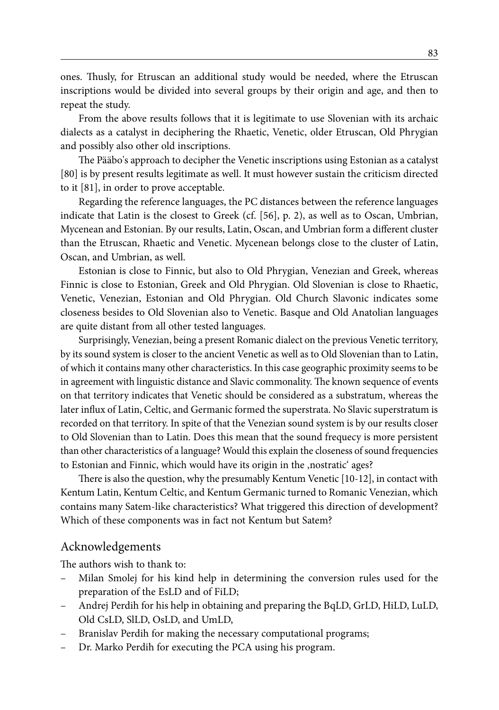ones. Thusly, for Etruscan an additional study would be needed, where the Etruscan inscriptions would be divided into several groups by their origin and age, and then to repeat the study.

From the above results follows that it is legitimate to use Slovenian with its archaic dialects as a catalyst in deciphering the Rhaetic, Venetic, older Etruscan, Old Phrygian and possibly also other old inscriptions.

The Pääbo's approach to decipher the Venetic inscriptions using Estonian as a catalyst [80] is by present results legitimate as well. It must however sustain the criticism directed to it [81], in order to prove acceptable.

Regarding the reference languages, the PC distances between the reference languages indicate that Latin is the closest to Greek (cf. [56], p. 2), as well as to Oscan, Umbrian, Mycenean and Estonian. By our results, Latin, Oscan, and Umbrian form a different cluster than the Etruscan, Rhaetic and Venetic. Mycenean belongs close to the cluster of Latin, Oscan, and Umbrian, as well.

Estonian is close to Finnic, but also to Old Phrygian, Venezian and Greek, whereas Finnic is close to Estonian, Greek and Old Phrygian. Old Slovenian is close to Rhaetic, Venetic, Venezian, Estonian and Old Phrygian. Old Church Slavonic indicates some closeness besides to Old Slovenian also to Venetic. Basque and Old Anatolian languages are quite distant from all other tested languages.

Surprisingly, Venezian, being a present Romanic dialect on the previous Venetic territory, by its sound system is closer to the ancient Venetic as well as to Old Slovenian than to Latin, of which it contains many other characteristics. In this case geographic proximity seems to be in agreement with linguistic distance and Slavic commonality. The known sequence of events on that territory indicates that Venetic should be considered as a substratum, whereas the later influx of Latin, Celtic, and Germanic formed the superstrata. No Slavic superstratum is recorded on that territory. In spite of that the Venezian sound system is by our results closer to Old Slovenian than to Latin. Does this mean that the sound frequecy is more persistent than other characteristics of a language? Would this explain the closeness of sound frequencies to Estonian and Finnic, which would have its origin in the , nostratic' ages?

There is also the question, why the presumably Kentum Venetic [10-12], in contact with Kentum Latin, Kentum Celtic, and Kentum Germanic turned to Romanic Venezian, which contains many Satem-like characteristics? What triggered this direction of development? Which of these components was in fact not Kentum but Satem?

#### Acknowledgements

The authors wish to thank to:

- Milan Smolej for his kind help in determining the conversion rules used for the preparation of the EsLD and of FiLD;
- Andrej Perdih for his help in obtaining and preparing the BqLD, GrLD, HiLD, LuLD, Old CsLD, SlLD, OsLD, and UmLD,
- Branislav Perdih for making the necessary computational programs;
- Dr. Marko Perdih for executing the PCA using his program.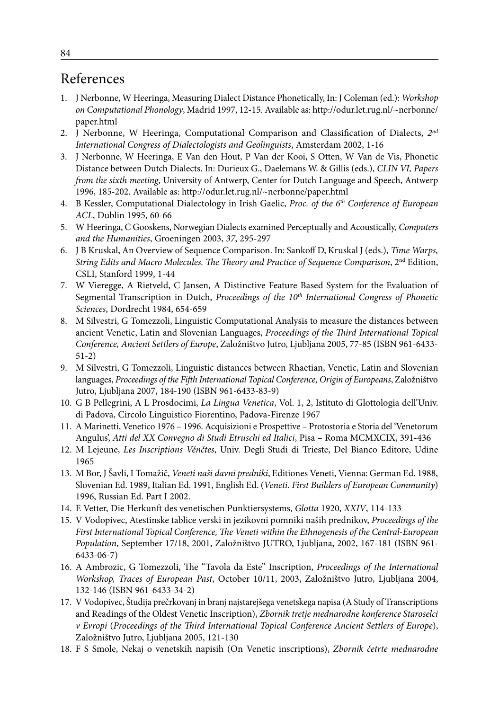# References

- 1. J Nerbonne, W Heeringa, Measuring Dialect Distance Phonetically, In: J Coleman (ed.): *Workshop on Computational Phonology*, Madrid 1997, 12-15. Available as: http://odur.let.rug.nl/~nerbonne/ paper.html
- 2. J Nerbonne, W Heeringa, Computational Comparison and Classification of Dialects, *2nd International Congress of Dialectologists and Geolinguists*, Amsterdam 2002, 1-16
- 3. J Nerbonne, W Heeringa, E Van den Hout, P Van der Kooi, S Otten, W Van de Vis, Phonetic Distance between Dutch Dialects. In: Durieux G., Daelemans W. & Gillis (eds.), *CLIN VI, Papers from the sixth meeting*, University of Antwerp, Center for Dutch Language and Speech, Antwerp 1996, 185-202. Available as: http://odur.let.rug.nl/~nerbonne/paper.html
- 4. B Kessler, Computational Dialectology in Irish Gaelic, *Proc. of the 6th Conference of European ACL*, Dublin 1995, 60-66
- 5. W Heeringa, C Gooskens, Norwegian Dialects examined Perceptually and Acoustically, *Computers and the Humanities*, Groeningen 2003, *37*, 295-297
- 6. J B Kruskal, An Overview of Sequence Comparison. In: Sankoff D, Kruskal J (eds.), *Time Warps, String Edits and Macro Molecules. The Theory and Practice of Sequence Comparison*, 2nd Edition, CSLI, Stanford 1999, 1-44
- 7. W Vieregge, A Rietveld, C Jansen, A Distinctive Feature Based System for the Evaluation of Segmental Transcription in Dutch, *Proceedings of the 10<sup>th</sup> International Congress of Phonetic Sciences*, Dordrecht 1984, 654-659
- 8. M Silvestri, G Tomezzoli, Linguistic Computational Analysis to measure the distances between ancient Venetic, Latin and Slovenian Languages, *Proceedings of the Third International Topical Conference, Ancient Settlers of Europe*, Založništvo Jutro, Ljubljana 2005, 77-85 (ISBN 961-6433- 51-2)
- 9. M Silvestri, G Tomezzoli, Linguistic distances between Rhaetian, Venetic, Latin and Slovenian languages, *Proceedings of the Fifth International Topical Conference, Origin of Europeans*, Založništvo Jutro, Ljubljana 2007, 184-190 (ISBN 961-6433-83-9)
- 10. G B Pellegrini, A L Prosdocimi, *La Lingua Venetica*, Vol. 1, 2, Istituto di Glottologia dell'Univ. di Padova, Circolo Linguistico Fiorentino, Padova-Firenze 1967
- 11. A Marinetti, Venetico 1976 1996. Acquisizioni e Prospettive Protostoria e Storia del 'Venetorum Angulus', *Atti del XX Convegno di Studi Etruschi ed Italici*, Pisa – Roma MCMXCIX, 391-436
- 12. M Lejeune, *Les Inscriptions Vénčtes*, Univ. Degli Studi di Trieste, Del Bianco Editore, Udine 1965
- 13. M Bor, J Šavli, I Tomažič, *Veneti naši davni predniki*, Editiones Veneti, Vienna: German Ed. 1988, Slovenian Ed. 1989, Italian Ed. 1991, English Ed. (*Veneti. First Builders of European Community*) 1996, Russian Ed. Part I 2002.
- 14. E Vetter, Die Herkunft des venetischen Punktiersystems, *Glotta* 1920, *XXIV*, 114-133
- 15. V Vodopivec, Atestinske tablice verski in jezikovni pomniki naših prednikov, *Proceedings of the First International Topical Conference, The Veneti within the Ethnogenesis of the Central-European Population*, September 17/18, 2001, Založništvo JUTRO, Ljubljana, 2002, 167-181 (ISBN 961- 6433-06-7)
- 16. A Ambrozic, G Tomezzoli, The "Tavola da Este" Inscription, *Proceedings of the International Workshop, Traces of European Past*, October 10/11, 2003, Založništvo Jutro, Ljubljana 2004, 132-146 (ISBN 961-6433-34-2)
- 17. V Vodopivec, Študija prečrkovanj in branj najstarejšega venetskega napisa (A Study of Transcriptions and Readings of the Oldest Venetic Inscription), *Zbornik tretje mednarodne konference Staroselci v Evropi* (*Proceedings of the Third International Topical Conference Ancient Settlers of Europe*), Založništvo Jutro, Ljubljana 2005, 121-130
- 18. F S Smole, Nekaj o venetskih napisih (On Venetic inscriptions), *Zbornik četrte mednarodne*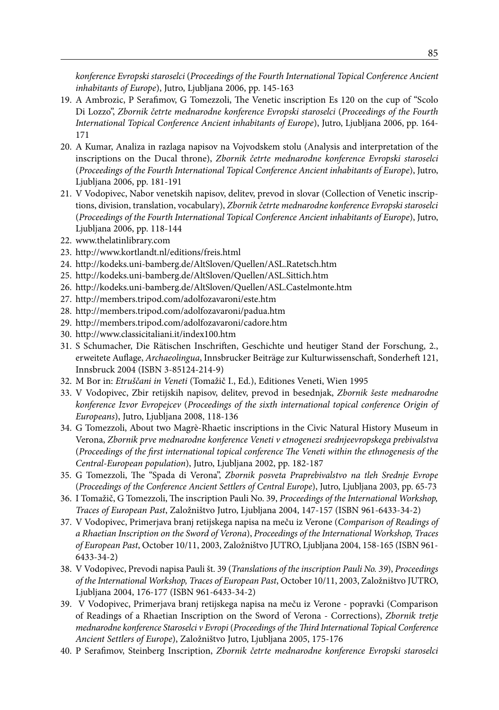*konference Evropski staroselci* (*Proceedings of the Fourth International Topical Conference Ancient inhabitants of Europe*), Jutro, Ljubljana 2006, pp. 145-163

- 19. A Ambrozic, P Serafimov, G Tomezzoli, The Venetic inscription Es 120 on the cup of "Scolo Di Lozzo", *Zbornik četrte mednarodne konference Evropski staroselci* (*Proceedings of the Fourth International Topical Conference Ancient inhabitants of Europe*), Jutro, Ljubljana 2006, pp. 164- 171
- 20. A Kumar, Analiza in razlaga napisov na Vojvodskem stolu (Analysis and interpretation of the inscriptions on the Ducal throne), *Zbornik četrte mednarodne konference Evropski staroselci* (*Proceedings of the Fourth International Topical Conference Ancient inhabitants of Europe*), Jutro, Ljubljana 2006, pp. 181-191
- 21. V Vodopivec, Nabor venetskih napisov, delitev, prevod in slovar (Collection of Venetic inscriptions, division, translation, vocabulary), *Zbornik četrte mednarodne konference Evropski staroselci* (*Proceedings of the Fourth International Topical Conference Ancient inhabitants of Europe*), Jutro, Ljubljana 2006, pp. 118-144
- 22. www.thelatinlibrary.com
- 23. http://www.kortlandt.nl/editions/freis.html
- 24. http://kodeks.uni-bamberg.de/AltSloven/Quellen/ASL.Ratetsch.htm
- 25. http://kodeks.uni-bamberg.de/AltSloven/Quellen/ASL.Sittich.htm
- 26. http://kodeks.uni-bamberg.de/AltSloven/Quellen/ASL.Castelmonte.htm
- 27. http://members.tripod.com/adolfozavaroni/este.htm
- 28. http://members.tripod.com/adolfozavaroni/padua.htm
- 29. http://members.tripod.com/adolfozavaroni/cadore.htm
- 30. http://www.classicitaliani.it/index100.htm
- 31. S Schumacher, Die Rätischen Inschriften, Geschichte und heutiger Stand der Forschung, 2., erweitete Auflage, *Archaeolingua*, Innsbrucker Beiträge zur Kulturwissenschaft, Sonderheft 121, Innsbruck 2004 (ISBN 3-85124-214-9)
- 32. M Bor in: *Etruščani in Veneti* (Tomažič I., Ed.), Editiones Veneti, Wien 1995
- 33. V Vodopivec, Zbir retijskih napisov, delitev, prevod in besednjak, *Zbornik šeste mednarodne konference Izvor Evropejcev* (*Proceedings of the sixth international topical conference Origin of Europeans*), Jutro, Ljubljana 2008, 118-136
- 34. G Tomezzoli, About two Magrè-Rhaetic inscriptions in the Civic Natural History Museum in Verona, *Zbornik prve mednarodne konference Veneti v etnogenezi srednjeevropskega prebivalstva* (*Proceedings of the first international topical conference The Veneti within the ethnogenesis of the Central-European population*), Jutro, Ljubljana 2002, pp. 182-187
- 35. G Tomezzoli, The "Spada di Verona", *Zbornik posveta Praprebivalstvo na tleh Srednje Evrope* (*Proceedings of the Conference Ancient Settlers of Central Europe*), Jutro, Ljubljana 2003, pp. 65-73
- 36. I Tomažič, G Tomezzoli, The inscription Pauli No. 39, *Proceedings of the International Workshop, Traces of European Past*, Založništvo Jutro, Ljubljana 2004, 147-157 (ISBN 961-6433-34-2)
- 37. V Vodopivec, Primerjava branj retijskega napisa na meču iz Verone (*Comparison of Readings of a Rhaetian Inscription on the Sword of Verona*), *Proceedings of the International Workshop, Traces of European Past*, October 10/11, 2003, Založništvo JUTRO, Ljubljana 2004, 158-165 (ISBN 961- 6433-34-2)
- 38. V Vodopivec, Prevodi napisa Pauli št. 39 (*Translations of the inscription Pauli No. 39*), *Proceedings of the International Workshop, Traces of European Past*, October 10/11, 2003, Založništvo JUTRO, Ljubljana 2004, 176-177 (ISBN 961-6433-34-2)
- 39. V Vodopivec, Primerjava branj retijskega napisa na meču iz Verone popravki (Comparison of Readings of a Rhaetian Inscription on the Sword of Verona - Corrections), *Zbornik tretje mednarodne konference Staroselci v Evropi* (*Proceedings of the Third International Topical Conference Ancient Settlers of Europe*), Založništvo Jutro, Ljubljana 2005, 175-176
- 40. P Serafimov, Steinberg Inscription, *Zbornik četrte mednarodne konference Evropski staroselci*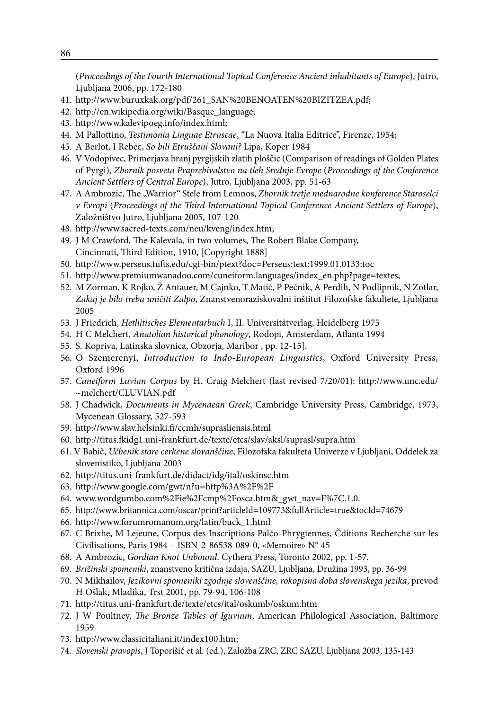(*Proceedings of the Fourth International Topical Conference Ancient inhabitants of Europe*), Jutro, Ljubljana 2006, pp. 172-180

- 41. http://www.buruxkak.org/pdf/261\_SAN%20BENOATEN%20BIZITZEA.pdf;
- 42. http://en.wikipedia.org/wiki/Basque\_language;
- 43. http://www.kalevipoeg.info/index.html;
- 44. M Pallottino, *Testimonia Linguae Etruscae*, "La Nuova Italia Editrice", Firenze, 1954;
- 45. A Berlot, I Rebec, *So bili Etruščani Slovani?* Lipa, Koper 1984
- 46. V Vodopivec, Primerjava branj pyrgijskih zlatih ploščic (Comparison of readings of Golden Plates of Pyrgi), *Zbornik posveta Praprebivalstvo na tleh Srednje Evrope* (*Proceedings of the Conference Ancient Settlers of Central Europe*), Jutro, Ljubljana 2003, pp. 51-63
- 47. A Ambrozic, The "Warrior" Stele from Lemnos, Zbornik tretje mednarodne konference Staroselci *v Evropi* (*Proceedings of the Third International Topical Conference Ancient Settlers of Europe*), Založništvo Jutro, Ljubljana 2005, 107-120
- 48. http://www.sacred-texts.com/neu/kveng/index.htm;
- 49. J M Crawford, The Kalevala, in two volumes, The Robert Blake Company, Cincinnati, Third Edition, 1910, [Copyright 1888]
- 50. http://www.perseus.tufts.edu/cgi-bin/ptext?doc=Perseus:text:1999.01.0133:toc
- 51. http://www.premiumwanadoo.com/cuneiform.languages/index\_en.php?page=textes;
- 52. M Zorman, K Rojko, Ž Antauer, M Cajnko, T Matič, P Pečnik, A Perdih, N Podlipnik, N Zotlar, *Zakaj je bilo treba uničiti Zalpo*, Znanstvenoraziskovalni inštitut Filozofske fakultete, Ljubljana 2005
- 53. J Friedrich, *Hethitisches Elementarbuch* I, II. Universitätverlag, Heidelberg 1975
- 54. H C Melchert, *Anatolian historical phonology*, Rodopi, Amsterdam, Atlanta 1994
- 55. S. Kopriva, Latinska slovnica, Obzorja, Maribor , pp. 12-15].
- 56. O Szemerenyi, *Introduction to Indo-European Linguistics*, Oxford University Press, Oxford 1996
- 57. *Cuneiform Luvian Corpus* by H. Craig Melchert (last revised 7/20/01): http://www.unc.edu/ ~melchert/CLUVIAN.pdf
- 58. J Chadwick, *Documents in Mycenaean Greek*, Cambridge University Press, Cambridge, 1973, Mycenean Glossary, 527-593
- 59. http://www.slav.helsinki.fi/ccmh/suprasliensis.html
- 60. http://titus.fkidg1.uni-frankfurt.de/texte/etcs/slav/aksl/suprasl/supra.htm
- 61. V Babič, *Učbenik stare cerkene slovanščine*, Filozofska fakulteta Univerze v Ljubljani, Oddelek za slovenistiko, Ljubljana 2003
- 62. http://titus.uni-frankfurt.de/didact/idg/ital/oskinsc.htm
- 63. http://www.google.com/gwt/n?u=http%3A%2F%2F
- 64. www.wordgumbo.com%2Fie%2Fcmp%2Fosca.htm&\_gwt\_nav=F%7C.1.0.
- 65. http://www.britannica.com/oscar/print?articleId=109773&fullArticle=true&tocId=74679
- 66. http://www.forumromanum.org/latin/buck\_1.html
- 67. C Brixhe, M Lejeune, Corpus des Inscriptions Palčo-Phrygiennes, Čditions Recherche sur les Civilisations, Paris 1984 – ISBN-2-86538-089-0, «Memoire» N° 45
- 68. A Ambrozic, *Gordian Knot Unbound*. Cythera Press, Toronto 2002, pp. 1-57.
- 69. *Brižinski spomeniki*, znanstveno kritična izdaja, SAZU, Ljubljana, Družina 1993, pp. 36-99
- 70. N Mikhailov, *Jezikovni spomeniki zgodnje slovenščine, rokopisna doba slovenskega jezika*, prevod H Ošlak, Mladika, Trst 2001, pp. 79-94, 106-108
- 71. http://titus.uni-frankfurt.de/texte/etcs/ital/oskumb/oskum.htm
- 72. J W Poultney, *The Bronze Tables of Iguvium*, American Philological Association, Baltimore 1959
- 73. http://www.classicitaliani.it/index100.htm;
- 74. *Slovenski pravopis*, J Toporišič et al. (ed.), Založba ZRC, ZRC SAZU, Ljubljana 2003, 135-143